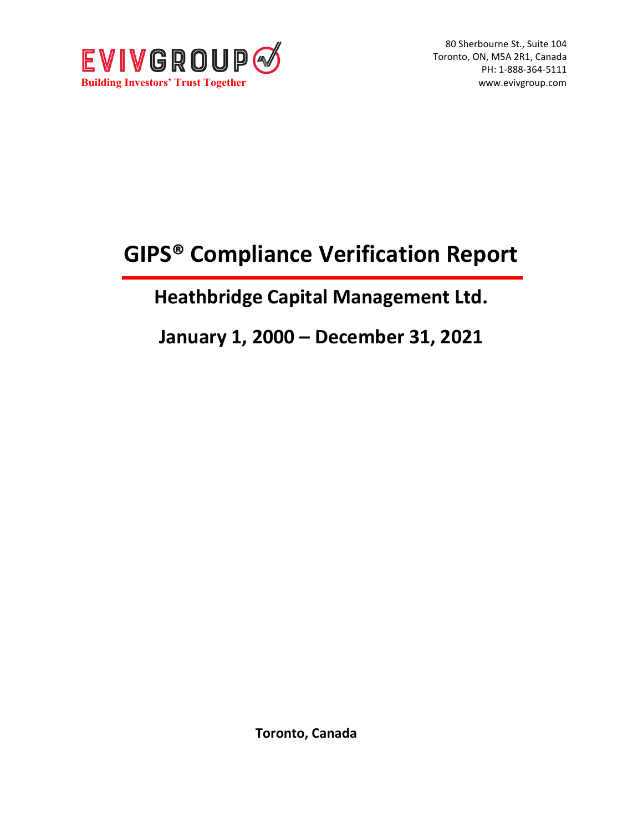

80 Sherbourne St., Suite 104 Toronto, ON, M5A 2R1, Canada PH: 1-888-364-5111

# **GIPS® Compliance Verification Report**

## **Heathbridge Capital Management Ltd.**

**January 1, 2000 – December 31, 2021**

**Toronto, Canada**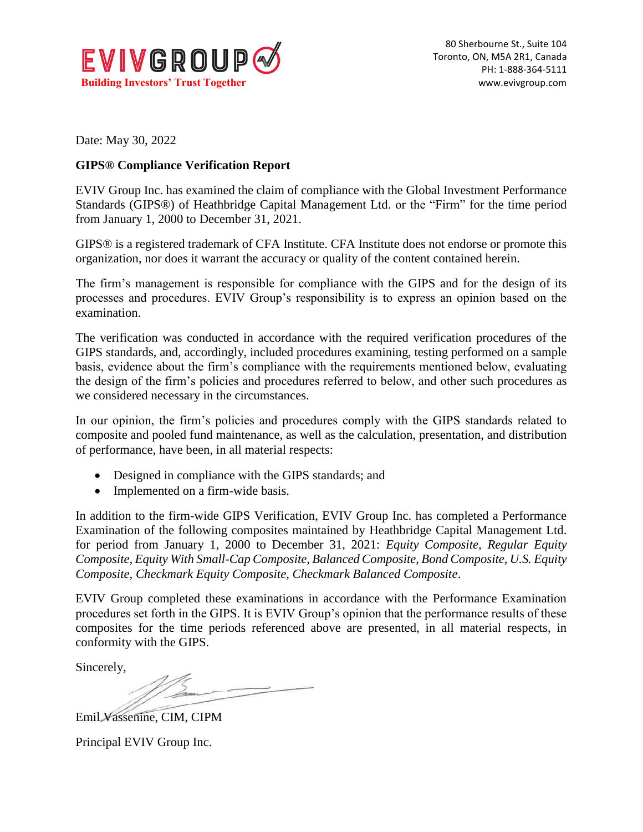

Date: May 30, 2022

### **GIPS® Compliance Verification Report**

EVIV Group Inc. has examined the claim of compliance with the Global Investment Performance Standards (GIPS®) of Heathbridge Capital Management Ltd. or the "Firm" for the time period from January 1, 2000 to December 31, 2021.

GIPS® is a registered trademark of CFA Institute. CFA Institute does not endorse or promote this organization, nor does it warrant the accuracy or quality of the content contained herein.

The firm's management is responsible for compliance with the GIPS and for the design of its processes and procedures. EVIV Group's responsibility is to express an opinion based on the examination.

The verification was conducted in accordance with the required verification procedures of the GIPS standards, and, accordingly, included procedures examining, testing performed on a sample basis, evidence about the firm's compliance with the requirements mentioned below, evaluating the design of the firm's policies and procedures referred to below, and other such procedures as we considered necessary in the circumstances.

In our opinion, the firm's policies and procedures comply with the GIPS standards related to composite and pooled fund maintenance, as well as the calculation, presentation, and distribution of performance, have been, in all material respects:

- Designed in compliance with the GIPS standards; and
- Implemented on a firm-wide basis.

In addition to the firm-wide GIPS Verification, EVIV Group Inc. has completed a Performance Examination of the following composites maintained by Heathbridge Capital Management Ltd. for period from January 1, 2000 to December 31, 2021: *Equity Composite, Regular Equity Composite, Equity With Small-Cap Composite, Balanced Composite, Bond Composite, U.S. Equity Composite, Checkmark Equity Composite, Checkmark Balanced Composite*.

EVIV Group completed these examinations in accordance with the Performance Examination procedures set forth in the GIPS. It is EVIV Group's opinion that the performance results of these composites for the time periods referenced above are presented, in all material respects, in conformity with the GIPS.

Sincerely,

Emil Vassenine, CIM, CIPM

Principal EVIV Group Inc.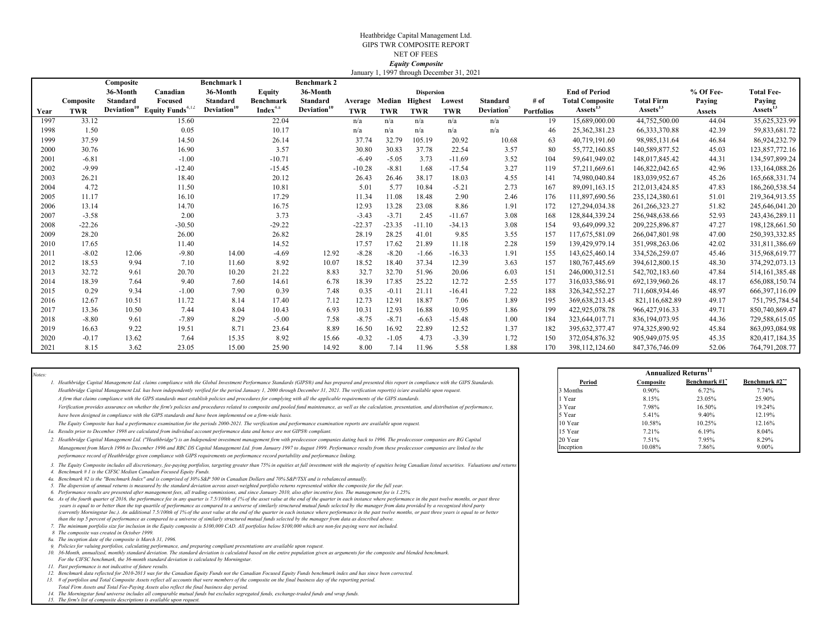#### Heathbridge Capital Management Ltd. GIPS TWR COMPOSITE REPORTNET OF FEES  *Equity Composite* January 1, 1997 through December 31, 2021

|      |            | Composite |                                                      | <b>Benchmark 1</b>      |                      | <b>Benchmark 2</b>      |            |            |                   |            |                  |                   |                        |                      |               |                   |
|------|------------|-----------|------------------------------------------------------|-------------------------|----------------------|-------------------------|------------|------------|-------------------|------------|------------------|-------------------|------------------------|----------------------|---------------|-------------------|
|      |            | 36-Month  | Canadian                                             | 36-Month                | <b>Equity</b>        | 36-Month                |            |            | <b>Dispersion</b> |            |                  |                   | <b>End of Period</b>   |                      | % Of Fee-     | <b>Total Fee-</b> |
|      | Composite  | Standard  | Focused                                              | Standard                | Benchmark            | <b>Standard</b>         | Average    | Median     | <b>Highest</b>    | Lowest     | <b>Standard</b>  | $#$ of            | <b>Total Composite</b> | <b>Total Firm</b>    | Paying        | Paying            |
| Year | <b>TWR</b> |           | Deviation <sup>10</sup> Equity Funds <sup>4,12</sup> | Deviation <sup>10</sup> | Index <sup>4.a</sup> | Deviation <sup>10</sup> | <b>TWR</b> | <b>TWR</b> | <b>TWR</b>        | <b>TWR</b> | <b>Deviation</b> | <b>Portfolios</b> | Assets'                | Assets <sup>15</sup> | <b>Assets</b> | Assets'           |
| 1997 | 33.12      |           | 15.60                                                |                         | 22.04                |                         | n/a        | n/a        | n/a               | n/a        | n/a              | 19                | 15,689,000.00          | 44,752,500.00        | 44.04         | 35,625,323.99     |
| 1998 | 1.50       |           | 0.05                                                 |                         | 10.17                |                         | n/a        | n/a        | n/a               | n/a        | n/a              | 46                | 25,362,381.23          | 66, 333, 370.88      | 42.39         | 59,833,681.72     |
| 1999 | 37.59      |           | 14.50                                                |                         | 26.14                |                         | 37.74      | 32.79      | 105.19            | 20.92      | 10.68            | 63                | 40,719,191.60          | 98, 985, 131.64      | 46.84         | 86,924,232.79     |
| 2000 | 30.76      |           | 16.90                                                |                         | 3.57                 |                         | 30.80      | 30.83      | 37.78             | 22.54      | 3.57             | 80                | 55,772,160.85          | 140,589,877.52       | 45.03         | 123,857,772.16    |
| 2001 | $-6.81$    |           | $-1.00$                                              |                         | $-10.71$             |                         | $-6.49$    | $-5.05$    | 3.73              | $-11.69$   | 3.52             | 104               | 59.641.949.02          | 148,017,845.42       | 44.31         | 134,597,899.24    |
| 2002 | $-9.99$    |           | $-12.40$                                             |                         | $-15.45$             |                         | $-10.28$   | $-8.81$    | 1.68              | $-17.54$   | 3.27             | 119               | 57,211,669.61          | 146,822,042.65       | 42.96         | 133,164,088.26    |
| 2003 | 26.21      |           | 18.40                                                |                         | 20.12                |                         | 26.43      | 26.46      | 38.17             | 18.03      | 4.55             | 141               | 74,980,040.84          | 183,039,952.67       | 45.26         | 165,668,331.74    |
| 2004 | 4.72       |           | 11.50                                                |                         | 10.81                |                         | 5.01       | 5.77       | 10.84             | $-5.21$    | 2.73             | 167               | 89,091,163.15          | 212,013,424.85       | 47.83         | 186,260,538.54    |
| 2005 | 11.17      |           | 16.10                                                |                         | 17.29                |                         | 11.34      | 11.08      | 18.48             | 2.90       | 2.46             | 176               | 111,897,690.56         | 235, 124, 380.61     | 51.01         | 219,364,913.55    |
| 2006 | 13.14      |           | 14.70                                                |                         | 16.75                |                         | 12.93      | 13.28      | 23.08             | 8.86       | 1.91             | 172               | 127,294,034.38         | 261, 266, 323. 27    | 51.82         | 245,646,041.20    |
| 2007 | $-3.58$    |           | 2.00                                                 |                         | 3.73                 |                         | $-3.43$    | $-3.71$    | 2.45              | $-11.67$   | 3.08             | 168               | 128,844,339.24         | 256,948,638.66       | 52.93         | 243,436,289.11    |
| 2008 | $-22.26$   |           | $-30.50$                                             |                         | $-29.22$             |                         | $-22.37$   | $-23.35$   | $-11.10$          | $-34.13$   | 3.08             | 154               | 93,649,099.32          | 209,225,896.87       | 47.27         | 198,128,661.50    |
| 2009 | 28.20      |           | 26.00                                                |                         | 26.82                |                         | 28.19      | 28.25      | 41.01             | 9.85       | 3.55             | 157               | 117,675,581.09         | 266,047,801.98       | 47.00         | 250, 393, 332.85  |
| 2010 | 17.65      |           | 11.40                                                |                         | 14.52                |                         | 17.57      | 17.62      | 21.89             | 11.18      | 2.28             | 159               | 139,429,979.14         | 351,998,263.06       | 42.02         | 331,811,386.69    |
| 2011 | $-8.02$    | 12.06     | $-9.80$                                              | 14.00                   | $-4.69$              | 12.92                   | $-8.28$    | $-8.20$    | $-1.66$           | $-16.33$   | 1.91             | 155               | 143,625,460.14         | 334,526,259.07       | 45.46         | 315,968,619.77    |
| 2012 | 18.53      | 9.94      | 7.10                                                 | 11.60                   | 8.92                 | 10.07                   | 18.52      | 18.40      | 37.34             | 12.39      | 3.63             | 157               | 180, 767, 445.69       | 394,612,800.15       | 48.30         | 374, 292, 073. 13 |
| 2013 | 32.72      | 9.61      | 20.70                                                | 10.20                   | 21.22                | 8.83                    | 32.7       | 32.70      | 51.96             | 20.06      | 6.03             | 151               | 246,000,312.51         | 542,702,183.60       | 47.84         | 514, 161, 385. 48 |
| 2014 | 18.39      | 7.64      | 9.40                                                 | 7.60                    | 14.61                | 6.78                    | 18.39      | 17.85      | 25.22             | 12.72      | 2.55             | 177               | 316,033,586.91         | 692,139,960.26       | 48.17         | 656,088,150.74    |
| 2015 | 0.29       | 9.34      | $-1.00$                                              | 7.90                    | 0.39                 | 7.48                    | 0.35       | $-0.11$    | 21.11             | $-16.41$   | 7.22             | 188               | 326, 342, 552. 27      | 711,608,934.46       | 48.97         | 666, 397, 116.09  |
| 2016 | 12.67      | 10.51     | 11.72                                                | 8.14                    | 17.40                | 7.12                    | 12.73      | 12.91      | 18.87             | 7.06       | 1.89             | 195               | 369,638,213.45         | 821,116,682.89       | 49.17         | 751, 795, 784.54  |
| 2017 | 13.36      | 10.50     | 7.44                                                 | 8.04                    | 10.43                | 6.93                    | 10.31      | 12.93      | 16.88             | 10.95      | 1.86             | 199               | 422,925,078.78         | 966, 427, 916.33     | 49.71         | 850,740,869.47    |
| 2018 | $-8.80$    | 9.61      | $-7.89$                                              | 8.29                    | $-5.00$              | 7.58                    | $-8.75$    | $-8.71$    | $-6.63$           | $-15.48$   | 1.00             | 184               | 323,644,017.71         | 836, 194, 073. 95    | 44.36         | 729,588,615.05    |
| 2019 | 16.63      | 9.22      | 19.51                                                | 8.71                    | 23.64                | 8.89                    | 16.50      | 16.92      | 22.89             | 12.52      | 1.37             | 182               | 395,632,377.47         | 974,325,890.92       | 45.84         | 863,093,084.98    |
| 2020 | $-0.17$    | 13.62     | 7.64                                                 | 15.35                   | 8.92                 | 15.66                   | $-0.32$    | $-1.05$    | 4.73              | $-3.39$    | 1.72             | 150               | 372,054,876.32         | 905,949,075.95       | 45.35         | 820,417,184.35    |
| 2021 | 8.15       | 3.62      | 23.05                                                | 15.00                   | 25.90                | 14.92                   | 8.00       | 7.14       | 11.96             | 5.58       | 1.88             | 170               | 398,112,124.60         | 847,376,746.09       | 52.06         | 764,791,208.77    |

|                                                                                                                                                                                                                                                                                                                                                                                                                                                                                                                                                                                                                                                                                                                                                                                                                                                                                                                                                                                                                                                                                                                                                                                                                                                                                                                                                                                                                                                                                                                                                                                                                                                                                                                                                                                                                                                                                                                                                                                                                                                                                                                                                                                                                                                                                                                                                                                                                                                                                                                                                                                                                                                                                                                                                                                                                                                                                                                                                                                                                                                  |                      |                 | <b>Annualized Returns</b> <sup>1</sup> |                |
|--------------------------------------------------------------------------------------------------------------------------------------------------------------------------------------------------------------------------------------------------------------------------------------------------------------------------------------------------------------------------------------------------------------------------------------------------------------------------------------------------------------------------------------------------------------------------------------------------------------------------------------------------------------------------------------------------------------------------------------------------------------------------------------------------------------------------------------------------------------------------------------------------------------------------------------------------------------------------------------------------------------------------------------------------------------------------------------------------------------------------------------------------------------------------------------------------------------------------------------------------------------------------------------------------------------------------------------------------------------------------------------------------------------------------------------------------------------------------------------------------------------------------------------------------------------------------------------------------------------------------------------------------------------------------------------------------------------------------------------------------------------------------------------------------------------------------------------------------------------------------------------------------------------------------------------------------------------------------------------------------------------------------------------------------------------------------------------------------------------------------------------------------------------------------------------------------------------------------------------------------------------------------------------------------------------------------------------------------------------------------------------------------------------------------------------------------------------------------------------------------------------------------------------------------------------------------------------------------------------------------------------------------------------------------------------------------------------------------------------------------------------------------------------------------------------------------------------------------------------------------------------------------------------------------------------------------------------------------------------------------------------------------------------------------|----------------------|-----------------|----------------------------------------|----------------|
| 1. Heathbridge Capital Management Ltd. claims compliance with the Global Investment Performance Standards (GIPS®) and has prepared and presented this report in compliance with the GIPS Standards.                                                                                                                                                                                                                                                                                                                                                                                                                                                                                                                                                                                                                                                                                                                                                                                                                                                                                                                                                                                                                                                                                                                                                                                                                                                                                                                                                                                                                                                                                                                                                                                                                                                                                                                                                                                                                                                                                                                                                                                                                                                                                                                                                                                                                                                                                                                                                                                                                                                                                                                                                                                                                                                                                                                                                                                                                                              | Period               | Composite       | Benchmark #1                           | Benchmarl      |
| Heathbridge Capital Management Ltd. has been independently verified for the period January 1, 2000 through December 31, 2021. The verification report(s) is/are available upon request.                                                                                                                                                                                                                                                                                                                                                                                                                                                                                                                                                                                                                                                                                                                                                                                                                                                                                                                                                                                                                                                                                                                                                                                                                                                                                                                                                                                                                                                                                                                                                                                                                                                                                                                                                                                                                                                                                                                                                                                                                                                                                                                                                                                                                                                                                                                                                                                                                                                                                                                                                                                                                                                                                                                                                                                                                                                          | 3 Months             | $0.90\%$        | 6.72%                                  | 7.74%          |
| A firm that claims compliance with the GIPS standards must establish policies and procedures for complying with all the applicable requirements of the GIPS standards.                                                                                                                                                                                                                                                                                                                                                                                                                                                                                                                                                                                                                                                                                                                                                                                                                                                                                                                                                                                                                                                                                                                                                                                                                                                                                                                                                                                                                                                                                                                                                                                                                                                                                                                                                                                                                                                                                                                                                                                                                                                                                                                                                                                                                                                                                                                                                                                                                                                                                                                                                                                                                                                                                                                                                                                                                                                                           | l Year               | 8.15%           | 23.05%                                 | 25.90%         |
| Verification provides assurance on whether the firm's policies and procedures related to composite and pooled fund maintenance, as well as the calculation, presentation, and distribution of performance,                                                                                                                                                                                                                                                                                                                                                                                                                                                                                                                                                                                                                                                                                                                                                                                                                                                                                                                                                                                                                                                                                                                                                                                                                                                                                                                                                                                                                                                                                                                                                                                                                                                                                                                                                                                                                                                                                                                                                                                                                                                                                                                                                                                                                                                                                                                                                                                                                                                                                                                                                                                                                                                                                                                                                                                                                                       | 3 Year               | 7.98%           | 16.50%                                 | 19.24%         |
| have been designed in compliance with the GIPS standards and have been implemented on a firm-wide basis.                                                                                                                                                                                                                                                                                                                                                                                                                                                                                                                                                                                                                                                                                                                                                                                                                                                                                                                                                                                                                                                                                                                                                                                                                                                                                                                                                                                                                                                                                                                                                                                                                                                                                                                                                                                                                                                                                                                                                                                                                                                                                                                                                                                                                                                                                                                                                                                                                                                                                                                                                                                                                                                                                                                                                                                                                                                                                                                                         | 5 Year               | 5.41%           | 9.40%                                  | 12.19%         |
| The Equity Composite has had a performance examination for the periods 2000-2021. The verification and performance examination reports are available upon request.                                                                                                                                                                                                                                                                                                                                                                                                                                                                                                                                                                                                                                                                                                                                                                                                                                                                                                                                                                                                                                                                                                                                                                                                                                                                                                                                                                                                                                                                                                                                                                                                                                                                                                                                                                                                                                                                                                                                                                                                                                                                                                                                                                                                                                                                                                                                                                                                                                                                                                                                                                                                                                                                                                                                                                                                                                                                               | 10 Year              | 10.58%          | 10.25%                                 | 12.16%         |
| 1a. Results prior to December 1998 are calculated from individual account performance data and hence are not GIPS® compliant.                                                                                                                                                                                                                                                                                                                                                                                                                                                                                                                                                                                                                                                                                                                                                                                                                                                                                                                                                                                                                                                                                                                                                                                                                                                                                                                                                                                                                                                                                                                                                                                                                                                                                                                                                                                                                                                                                                                                                                                                                                                                                                                                                                                                                                                                                                                                                                                                                                                                                                                                                                                                                                                                                                                                                                                                                                                                                                                    | 15 Year              | 7.21%           | 6.19%                                  | 8.04%          |
| 2. Heathbridge Capital Management Ltd. ("Heathbridge") is an Independent investment management firm with predecessor companies dating back to 1996. The predecessor companies are RG Capital<br>Management from March 1996 to December 1996 and RBC DS Capital Management Ltd. from January 1997 to August 1999. Performance results from these predecessor companies are linked to the<br>performance record of Heathbridge given compliance with GIPS requirements on performance record portability and performance linking.                                                                                                                                                                                                                                                                                                                                                                                                                                                                                                                                                                                                                                                                                                                                                                                                                                                                                                                                                                                                                                                                                                                                                                                                                                                                                                                                                                                                                                                                                                                                                                                                                                                                                                                                                                                                                                                                                                                                                                                                                                                                                                                                                                                                                                                                                                                                                                                                                                                                                                                  | 20 Year<br>Inception | 7.51%<br>10.08% | 7.95%<br>7.86%                         | 8.29%<br>9.00% |
| 3. The Equity Composite includes all discretionary, fee-paying portfolios, targeting greater than 75% in equities at full investment with the majority of equities being Canadian listed securities. Valuations and returns<br>4. Benchmark # 1 is the CIFSC Median Canadian Focused Equity Funds.<br>4a. Benchmark #2 is the "Benchmark Index" and is comprised of 30% S&P 500 in Canadian Dollars and 70% S&P/TSX and is rebalanced annually.<br>5. The dispersion of annual returns is measured by the standard deviation across asset-weighted portfolio returns represented within the composite for the full year.<br>6. Performance results are presented after management fees, all trading commissions, and since January 2010, also after incentive fees. The management fee is 1.25%<br>6a. As of the fourth quarter of 2016, the performance fee in any quarter is 7.5/100th of 1% of the asset value at the end of the quarter in each instance where performance in the past twelve months, or past three<br>years is equal to or better than the top quartile of performance as compared to a universe of similarly structured mutual funds selected by the manager from data provided by a recognized third party<br>(currently Morningstar Inc.). An additional 7.5/100th of 1% of the asset value at the end of the quarter in each instance where performance in the past twelve months, or past three years is equal to or better<br>than the top 5 percent of performance as compared to a universe of similarly structured mutual funds selected by the manager from data as described above.<br>7. The minimum portfolio size for inclusion in the Equity composite is \$100,000 CAD. All portfolios below \$100,000 which are non-fee paying were not included.<br>8 The composite was created in October 1999.<br>8a. The inception date of the composite is March 31, 1996.<br>9. Policies for valuing portfolios, calculating performance, and preparing compliant presentations are available upon request.<br>10. 36-Month, annualized, monthly standard deviation. The standard deviation is calculated based on the entire population given as arguments for the composite and blended benchmark.<br>For the CIFSC benchmark, the 36-month standard deviation is calculated by Morningstar.<br>11. Past performance is not indicative of future results.<br>12. Benchmark data reflected for 2010-2013 was for the Canadian Equity Funds not the Canadian Focused Equity Funds benchmark index and has since been corrected.<br>13. # of portfolios and Total Composite Assets reflect all accounts that were members of the composite on the final business day of the reporting period.<br>Total Firm Assets and Total Fee-Paying Assets also reflect the final business day period.<br>14. The Morningstar fund universe includes all comparable mutual funds but excludes segregated funds, exchange-traded funds and wrap funds.<br>15. The firm's list of composite descriptions is available upon request. |                      |                 |                                        |                |

*Notes:*

|           |           | <b>Annualized Returns</b> <sup>II</sup> |                |
|-----------|-----------|-----------------------------------------|----------------|
| Period    | Composite | Benchmark #1"                           | Benchmark #2** |
| 3 Months  | 0.90%     | 6.72%                                   | 7.74%          |
| 1 Year    | 8.15%     | 23.05%                                  | 25.90%         |
| 3 Year    | 7.98%     | 16.50%                                  | 19.24%         |
| 5 Year    | 5.41%     | 9.40%                                   | 12.19%         |
| 10 Year   | 10.58%    | 10.25%                                  | 12.16%         |
| 15 Year   | 7.21%     | 6.19%                                   | 8.04%          |
| 20 Year   | 7.51%     | 7.95%                                   | 8.29%          |
| Inception | 10.08%    | 7.86%                                   | 9.00%          |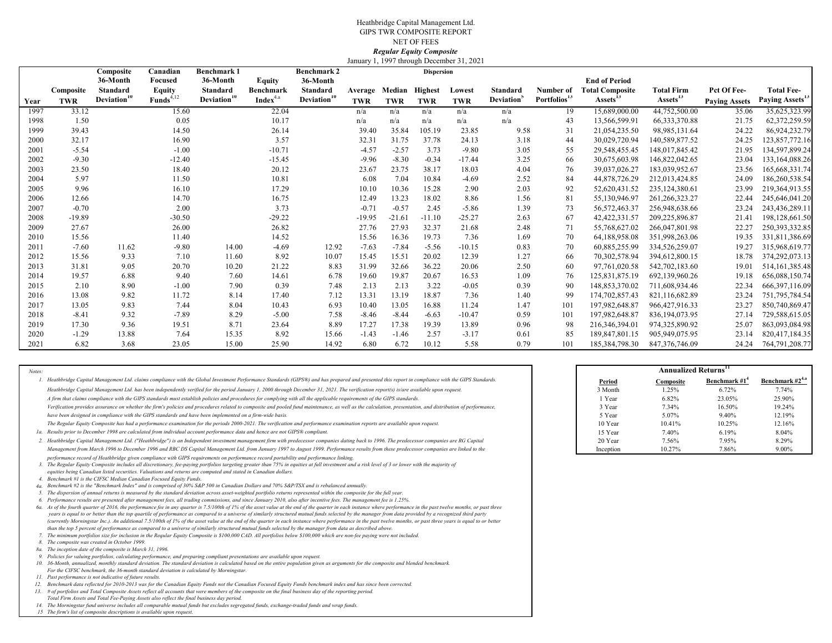#### Heathbridge Capital Management Ltd. GIPS TWR COMPOSITE REPORT NET OF FEES*Regular Equity Composite*

|      |            |                         |                         |                               |                      |                                |          |            |                   | January 1, 1997 through December 31, 2021 |                        |                          |                        |                      |                      |                             |
|------|------------|-------------------------|-------------------------|-------------------------------|----------------------|--------------------------------|----------|------------|-------------------|-------------------------------------------|------------------------|--------------------------|------------------------|----------------------|----------------------|-----------------------------|
|      |            | Composite<br>36-Month   | Canadian<br>Focused     | <b>Benchmark1</b><br>36-Month | <b>Equity</b>        | <b>Benchmark 2</b><br>36-Month |          |            | <b>Dispersion</b> |                                           |                        |                          | <b>End of Period</b>   |                      |                      |                             |
|      | Composite  | Standard                | <b>Equity</b>           | Standard                      | Benchmark            | Standard                       | Average  | Median     | <b>Highest</b>    | Lowest                                    | Standard               | Number of                | <b>Total Composite</b> | <b>Total Firm</b>    | Pct Of Fee-          | <b>Total Fee-</b>           |
| Year | <b>TWR</b> | Deviation <sup>10</sup> | $\mathbf{Funds}^{4,12}$ | Deviation <sup>10</sup>       | Index <sup>4.a</sup> | Deviation <sup>10</sup>        | TWR      | <b>TWR</b> | <b>TWR</b>        | <b>TWR</b>                                | Deviation <sup>5</sup> | Portfolios <sup>15</sup> | Assets <sup>15</sup>   | Assets <sup>15</sup> | <b>Paying Assets</b> | Paying Assets <sup>15</sup> |
| 1997 | 33.12      |                         | 15.60                   |                               | 22.04                |                                | n/a      | n/a        | n/a               | n/a                                       | n/a                    | 19                       | 15,689,000.00          | 44,752,500.00        | 35.06                | 35,625,323.99               |
| 1998 | 1.50       |                         | 0.05                    |                               | 10.17                |                                | n/a      | n/a        | n/a               | n/a                                       | n/a                    | 43                       | 13,566,599.91          | 66, 333, 370.88      | 21.75                | 62,372,259.59               |
| 1999 | 39.43      |                         | 14.50                   |                               | 26.14                |                                | 39.40    | 35.84      | 105.19            | 23.85                                     | 9.58                   | 31                       | 21,054,235.50          | 98,985,131.64        | 24.22                | 86,924,232.79               |
| 2000 | 32.17      |                         | 16.90                   |                               | 3.57                 |                                | 32.31    | 31.75      | 37.78             | 24.13                                     | 3.18                   | 44                       | 30,029,720.94          | 140,589,877.52       | 24.25                | 123,857,772.16              |
| 2001 | $-5.54$    |                         | $-1.00$                 |                               | $-10.71$             |                                | $-4.57$  | $-2.57$    | 3.73              | $-9.80$                                   | 3.05                   | 55                       | 29,548,455.45          | 148,017,845.42       | 21.95                | 134,597,899.24              |
| 2002 | $-9.30$    |                         | $-12.40$                |                               | $-15.45$             |                                | $-9.96$  | $-8.30$    | $-0.34$           | $-17.44$                                  | 3.25                   | 66                       | 30,675,603.98          | 146,822,042.65       | 23.04                | 133,164,088.26              |
| 2003 | 23.50      |                         | 18.40                   |                               | 20.12                |                                | 23.67    | 23.75      | 38.17             | 18.03                                     | 4.04                   | 76                       | 39,037,026.27          | 183,039,952.67       | 23.56                | 165,668,331.74              |
| 2004 | 5.97       |                         | 11.50                   |                               | 10.81                |                                | 6.08     | 7.04       | 10.84             | $-4.69$                                   | 2.52                   | 84                       | 44,878,726.29          | 212,013,424.85       | 24.09                | 186,260,538.54              |
| 2005 | 9.96       |                         | 16.10                   |                               | 17.29                |                                | 10.10    | 10.36      | 15.28             | 2.90                                      | 2.03                   | 92                       | 52,620,431.52          | 235, 124, 380.61     | 23.99                | 219,364,913.55              |
| 2006 | 12.66      |                         | 14.70                   |                               | 16.75                |                                | 12.49    | 13.23      | 18.02             | 8.86                                      | 1.56                   | 81                       | 55,130,946.97          | 261, 266, 323. 27    | 22.44                | 245,646,041.20              |
| 2007 | $-0.70$    |                         | 2.00                    |                               | 3.73                 |                                | $-0.71$  | $-0.57$    | 2.45              | $-5.86$                                   | 1.39                   | 73                       | 56, 572, 463. 37       | 256,948,638.66       | 23.24                | 243,436,289.11              |
| 2008 | $-19.89$   |                         | $-30.50$                |                               | $-29.22$             |                                | $-19.95$ | $-21.61$   | $-11.10$          | $-25.27$                                  | 2.63                   | 67                       | 42, 422, 331.57        | 209,225,896.87       | 21.41                | 198,128,661.50              |
| 2009 | 27.67      |                         | 26.00                   |                               | 26.82                |                                | 27.76    | 27.93      | 32.37             | 21.68                                     | 2.48                   | 71                       | 55,768,627.02          | 266,047,801.98       | 22.27                | 250,393,332.85              |
| 2010 | 15.56      |                         | 11.40                   |                               | 14.52                |                                | 15.56    | 16.36      | 19.73             | 7.36                                      | 1.69                   | 70                       | 64,188,958.08          | 351,998,263.06       | 19.35                | 331,811,386.69              |
| 2011 | $-7.60$    | 11.62                   | $-9.80$                 | 14.00                         | $-4.69$              | 12.92                          | $-7.63$  | $-7.84$    | $-5.56$           | $-10.15$                                  | 0.83                   | 70                       | 60,885,255.99          | 334,526,259.07       | 19.27                | 315,968,619.77              |
| 2012 | 15.56      | 9.33                    | 7.10                    | 11.60                         | 8.92                 | 10.07                          | 15.45    | 15.51      | 20.02             | 12.39                                     | 1.27                   | -66                      | 70,302,578.94          | 394,612,800.15       | 18.78                | 374,292,073.13              |
| 2013 | 31.81      | 9.05                    | 20.70                   | 10.20                         | 21.22                | 8.83                           | 31.99    | 32.66      | 36.22             | 20.06                                     | 2.50                   | 60                       | 97,761,020.58          | 542,702,183.60       | 19.01                | 514, 161, 385. 48           |
| 2014 | 19.57      | 6.88                    | 9.40                    | 7.60                          | 14.61                | 6.78                           | 19.60    | 19.87      | 20.67             | 16.53                                     | 1.09                   | 76                       | 125,831,875.19         | 692,139,960.26       | 19.18                | 656,088,150.74              |
| 2015 | 2.10       | 8.90                    | $-1.00$                 | 7.90                          | 0.39                 | 7.48                           | 2.13     | 2.13       | 3.22              | $-0.05$                                   | 0.39                   | 90                       | 148,853,370.02         | 711,608,934.46       | 22.34                | 666, 397, 116.09            |
| 2016 | 13.08      | 9.82                    | 11.72                   | 8.14                          | 17.40                | 7.12                           | 13.31    | 13.19      | 18.87             | 7.36                                      | 1.40                   | 99                       | 174,702,857.43         | 821,116,682.89       | 23.24                | 751, 795, 784.54            |
| 2017 | 13.05      | 9.83                    | 7.44                    | 8.04                          | 10.43                | 6.93                           | 10.40    | 13.05      | 16.88             | 11.24                                     | 1.47                   | 101                      | 197,982,648.87         | 966,427,916.33       | 23.27                | 850,740,869.47              |
| 2018 | $-8.41$    | 9.32                    | $-7.89$                 | 8.29                          | $-5.00$              | 7.58                           | $-8.46$  | $-8.44$    | $-6.63$           | $-10.47$                                  | 0.59                   | 101                      | 197,982,648.87         | 836,194,073.95       | 27.14                | 729,588,615.05              |
| 2019 | 17.30      | 9.36                    | 19.51                   | 8.71                          | 23.64                | 8.89                           | 17.27    | 17.38      | 19.39             | 13.89                                     | 0.96                   | 98                       | 216,346,394.01         | 974,325,890.92       | 25.07                | 863,093,084.98              |
| 2020 | $-1.29$    | 13.88                   | 7.64                    | 15.35                         | 8.92                 | 15.66                          | $-1.43$  | $-1.46$    | 2.57              | $-3.17$                                   | 0.61                   | 85                       | 189,847,801.15         | 905,949,075.95       | 23.14                | 820,417,184.35              |
| 2021 | 6.82       | 3.68                    | 23.05                   | 15.00                         | 25.90                | 14.92                          | 6.80     | 6.72       | 10.12             | 5.58                                      | 0.79                   | 101                      | 185,384,798.30         | 847, 376, 746, 09    | 24.24                | 764,791,208.77              |

| Notes: |                                                                                                                                                                                                                                                                                                                                                                                                                                                                                                                                                                                                                                                                                                                                                                                                                                                                                                                                                                                                                                                                                                                                                                                                                                                                                                                                                                                                                                                                                                                                                                                                                                                                                                                                                                                                                                                                                                                                                                                                                                                                                                                                                                                                                                                                                                                                                                                                                                                                                                                                                                                                                                                                                                                                                                                                                                                                                                                                                                                                                                                               |           | <b>Annualized Returns</b> <sup>11</sup> |        |
|--------|---------------------------------------------------------------------------------------------------------------------------------------------------------------------------------------------------------------------------------------------------------------------------------------------------------------------------------------------------------------------------------------------------------------------------------------------------------------------------------------------------------------------------------------------------------------------------------------------------------------------------------------------------------------------------------------------------------------------------------------------------------------------------------------------------------------------------------------------------------------------------------------------------------------------------------------------------------------------------------------------------------------------------------------------------------------------------------------------------------------------------------------------------------------------------------------------------------------------------------------------------------------------------------------------------------------------------------------------------------------------------------------------------------------------------------------------------------------------------------------------------------------------------------------------------------------------------------------------------------------------------------------------------------------------------------------------------------------------------------------------------------------------------------------------------------------------------------------------------------------------------------------------------------------------------------------------------------------------------------------------------------------------------------------------------------------------------------------------------------------------------------------------------------------------------------------------------------------------------------------------------------------------------------------------------------------------------------------------------------------------------------------------------------------------------------------------------------------------------------------------------------------------------------------------------------------------------------------------------------------------------------------------------------------------------------------------------------------------------------------------------------------------------------------------------------------------------------------------------------------------------------------------------------------------------------------------------------------------------------------------------------------------------------------------------------------|-----------|-----------------------------------------|--------|
|        | 1. Heathbridge Capital Management Ltd. claims compliance with the Global Investment Performance Standards (GIPS®) and has prepared and presented this report in compliance with the GIPS Standards.                                                                                                                                                                                                                                                                                                                                                                                                                                                                                                                                                                                                                                                                                                                                                                                                                                                                                                                                                                                                                                                                                                                                                                                                                                                                                                                                                                                                                                                                                                                                                                                                                                                                                                                                                                                                                                                                                                                                                                                                                                                                                                                                                                                                                                                                                                                                                                                                                                                                                                                                                                                                                                                                                                                                                                                                                                                           | Period    | Composite                               | Benchm |
|        | Heathbridge Capital Management Ltd. has been independently verified for the period January 1, 2000 through December 31, 2021. The verification report(s) is/are available upon request.                                                                                                                                                                                                                                                                                                                                                                                                                                                                                                                                                                                                                                                                                                                                                                                                                                                                                                                                                                                                                                                                                                                                                                                                                                                                                                                                                                                                                                                                                                                                                                                                                                                                                                                                                                                                                                                                                                                                                                                                                                                                                                                                                                                                                                                                                                                                                                                                                                                                                                                                                                                                                                                                                                                                                                                                                                                                       | 3 Month   | 1.25%                                   | 6.72   |
|        | A firm that claims compliance with the GIPS standards must establish policies and procedures for complying with all the applicable requirements of the GIPS standards.                                                                                                                                                                                                                                                                                                                                                                                                                                                                                                                                                                                                                                                                                                                                                                                                                                                                                                                                                                                                                                                                                                                                                                                                                                                                                                                                                                                                                                                                                                                                                                                                                                                                                                                                                                                                                                                                                                                                                                                                                                                                                                                                                                                                                                                                                                                                                                                                                                                                                                                                                                                                                                                                                                                                                                                                                                                                                        | 1 Year    | 6.82%                                   | 23.0   |
|        | Verification provides assurance on whether the firm's policies and procedures related to composite and pooled fund maintenance, as well as the calculation, presentation, and distribution of performance,                                                                                                                                                                                                                                                                                                                                                                                                                                                                                                                                                                                                                                                                                                                                                                                                                                                                                                                                                                                                                                                                                                                                                                                                                                                                                                                                                                                                                                                                                                                                                                                                                                                                                                                                                                                                                                                                                                                                                                                                                                                                                                                                                                                                                                                                                                                                                                                                                                                                                                                                                                                                                                                                                                                                                                                                                                                    | 3 Year    | 7.34%                                   | 16.5   |
|        | have been designed in compliance with the GIPS standards and have been implemented on a firm-wide basis.                                                                                                                                                                                                                                                                                                                                                                                                                                                                                                                                                                                                                                                                                                                                                                                                                                                                                                                                                                                                                                                                                                                                                                                                                                                                                                                                                                                                                                                                                                                                                                                                                                                                                                                                                                                                                                                                                                                                                                                                                                                                                                                                                                                                                                                                                                                                                                                                                                                                                                                                                                                                                                                                                                                                                                                                                                                                                                                                                      | 5 Year    | 5.07%                                   | 9.40   |
|        | The Regular Equity Composite has had a performance examination for the periods 2000-2021. The verification and performance examination reports are available upon request.                                                                                                                                                                                                                                                                                                                                                                                                                                                                                                                                                                                                                                                                                                                                                                                                                                                                                                                                                                                                                                                                                                                                                                                                                                                                                                                                                                                                                                                                                                                                                                                                                                                                                                                                                                                                                                                                                                                                                                                                                                                                                                                                                                                                                                                                                                                                                                                                                                                                                                                                                                                                                                                                                                                                                                                                                                                                                    | 10 Year   | 10.41%                                  | 10.2   |
|        | 1a. Results prior to December 1998 are calculated from individual account performance data and hence are not GIPS® compliant.                                                                                                                                                                                                                                                                                                                                                                                                                                                                                                                                                                                                                                                                                                                                                                                                                                                                                                                                                                                                                                                                                                                                                                                                                                                                                                                                                                                                                                                                                                                                                                                                                                                                                                                                                                                                                                                                                                                                                                                                                                                                                                                                                                                                                                                                                                                                                                                                                                                                                                                                                                                                                                                                                                                                                                                                                                                                                                                                 | 15 Year   | 7.40%                                   | 6.19   |
|        | 2. Heathbridge Capital Management Ltd. ("Heathbridge") is an Independent investment management firm with predecessor companies dating back to 1996. The predecessor companies are RG Capital                                                                                                                                                                                                                                                                                                                                                                                                                                                                                                                                                                                                                                                                                                                                                                                                                                                                                                                                                                                                                                                                                                                                                                                                                                                                                                                                                                                                                                                                                                                                                                                                                                                                                                                                                                                                                                                                                                                                                                                                                                                                                                                                                                                                                                                                                                                                                                                                                                                                                                                                                                                                                                                                                                                                                                                                                                                                  | 20 Year   | 7.56%                                   | 7.95   |
|        | Management from March 1996 to December 1996 and RBC DS Capital Management Ltd. from January 1997 to August 1999. Performance results from these predecessor companies are linked to the                                                                                                                                                                                                                                                                                                                                                                                                                                                                                                                                                                                                                                                                                                                                                                                                                                                                                                                                                                                                                                                                                                                                                                                                                                                                                                                                                                                                                                                                                                                                                                                                                                                                                                                                                                                                                                                                                                                                                                                                                                                                                                                                                                                                                                                                                                                                                                                                                                                                                                                                                                                                                                                                                                                                                                                                                                                                       | Inception | 10.27%                                  | 7.86   |
|        | performance record of Heathbridge given compliance with GIPS requirements on performance record portability and performance linking.<br>3. The Regular Equity Composite includes all discretionary, fee-paying portfolios targeting greater than 75% in equities at full investment and a risk level of 3 or lower with the majority of<br>equities being Canadian listed securities. Valuations and returns are computed and stated in Canadian dollars.<br>4. Benchmark #1 is the CIFSC Median Canadian Focused Equity Funds.<br>4a. Benchmark #2 is the "Benchmark Index" and is comprised of 30% S&P 500 in Canadian Dollars and 70% S&P/TSX and is rebalanced annually.<br>5. The dispersion of annual returns is measured by the standard deviation across asset-weighted portfolio returns represented within the composite for the full year.<br>6. Performance results are presented after management fees, all trading commissions, and since January 2010, also after incentive fees. The management fee is 1.25%.<br>6a. As of the fourth quarter of 2016, the performance fee in any quarter is 7.5/100th of 1% of the asset value at the end of the quarter in each instance where performance in the past twelve months, or past three<br>years is equal to or better than the top quartile of performance as compared to a universe of similarly structured mutual funds selected by the manager from data provided by a recognized third party<br>(currently Morningstar Inc.). An additional 7.5/100th of 1% of the asset value at the end of the quarter in each instance where performance in the past twelve months, or past three years is equal to or better<br>than the top 5 percent of performance as compared to a universe of similarly structured mutual funds selected by the manager from data as described above.<br>7. The minimum portfolios size for inclusion in the Regular Equity Composite is \$100,000 CAD. All portfolios below \$100,000 which are non-fee paying were not included.<br>8. The composite was created in October 1999.<br>8a. The inception date of the composite is March 31, 1996.<br>9. Policies for valuing portfolios, calculating performance, and preparing compliant presentations are available upon request.<br>10. 36-Month, annualized, monthly standard deviation. The standard deviation is calculated based on the entire population given as arguments for the composite and blended benchmark.<br>For the CIFSC benchmark, the 36-month standard deviation is calculated by Morningstar.<br>11. Past performance is not indicative of future results.<br>12. Benchmark data reflected for 2010-2013 was for the Canadian Equity Funds not the Canadian Focused Equity Funds benchmark index and has since been corrected.<br>13. # of portfolios and Total Composite Assets reflect all accounts that were members of the composite on the final business day of the reporting period.<br>Total Firm Assets and Total Fee-Paying Assets also reflect the final business day period. |           |                                         |        |
|        | 14. The Morningstar fund universe includes all comparable mutual funds but excludes segregated funds, exchange-traded funds and wrap funds.                                                                                                                                                                                                                                                                                                                                                                                                                                                                                                                                                                                                                                                                                                                                                                                                                                                                                                                                                                                                                                                                                                                                                                                                                                                                                                                                                                                                                                                                                                                                                                                                                                                                                                                                                                                                                                                                                                                                                                                                                                                                                                                                                                                                                                                                                                                                                                                                                                                                                                                                                                                                                                                                                                                                                                                                                                                                                                                   |           |                                         |        |
|        | 15 The firm's list of composite descriptions is available upon request.                                                                                                                                                                                                                                                                                                                                                                                                                                                                                                                                                                                                                                                                                                                                                                                                                                                                                                                                                                                                                                                                                                                                                                                                                                                                                                                                                                                                                                                                                                                                                                                                                                                                                                                                                                                                                                                                                                                                                                                                                                                                                                                                                                                                                                                                                                                                                                                                                                                                                                                                                                                                                                                                                                                                                                                                                                                                                                                                                                                       |           |                                         |        |

|           | Annualized Returns <sup>11</sup> |                           |                      |  |  |  |  |  |  |  |  |  |  |  |
|-----------|----------------------------------|---------------------------|----------------------|--|--|--|--|--|--|--|--|--|--|--|
| Period    | Composite                        | Benchmark #1 <sup>4</sup> | Benchmark $#2^{4,a}$ |  |  |  |  |  |  |  |  |  |  |  |
| 3 Month   | 1.25%                            | 6.72%                     | 7.74%                |  |  |  |  |  |  |  |  |  |  |  |
| 1 Year    | 6.82%                            | 23.05%                    | 25.90%               |  |  |  |  |  |  |  |  |  |  |  |
| 3 Year    | 7.34%                            | 16.50%                    | 19.24%               |  |  |  |  |  |  |  |  |  |  |  |
| 5 Year    | 5.07%                            | 9.40%                     | 12.19%               |  |  |  |  |  |  |  |  |  |  |  |
| 10 Year   | 10.41%                           | 10.25%                    | 12.16%               |  |  |  |  |  |  |  |  |  |  |  |
| 15 Year   | 7.40%                            | 6.19%                     | 8.04%                |  |  |  |  |  |  |  |  |  |  |  |
| 20 Year   | 7.56%                            | 7.95%                     | 8.29%                |  |  |  |  |  |  |  |  |  |  |  |
| Inception | 10.27%                           | 7.86%                     | 9.00%                |  |  |  |  |  |  |  |  |  |  |  |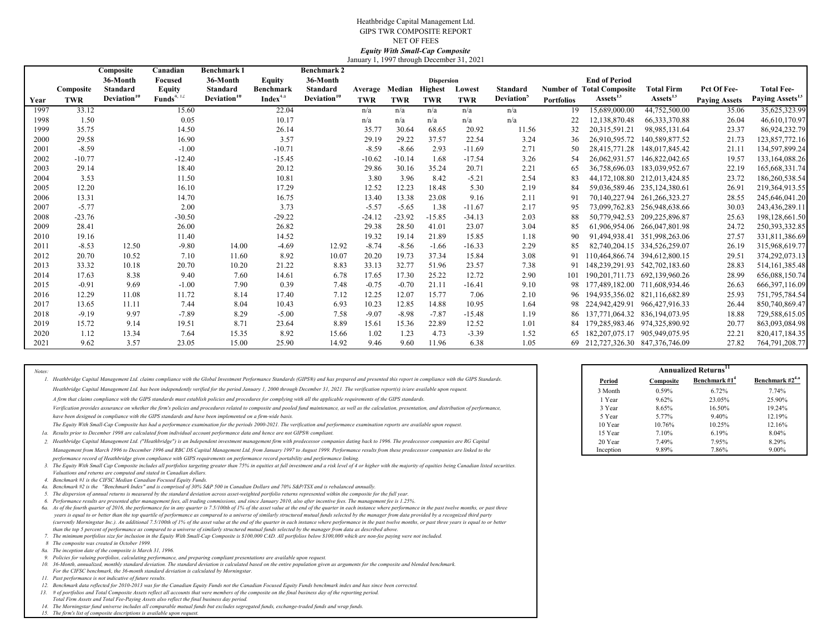#### January 1, 1997 through December 31, 2021 Heathbridge Capital Management Ltd. GIPS TWR COMPOSITE REPORT NET OF FEES*Equity With Small-Cap Composite*

|      |            | Composite               | Canadian               | <b>Benchmark 1</b>      |                      | <b>Benchmark 2</b>      |            |            |                   |            |                        |                   |                                      |                              |                      |                             |
|------|------------|-------------------------|------------------------|-------------------------|----------------------|-------------------------|------------|------------|-------------------|------------|------------------------|-------------------|--------------------------------------|------------------------------|----------------------|-----------------------------|
|      |            | 36-Month                | Focused                | 36-Month                | <b>Equity</b>        | 36-Month                |            |            | <b>Dispersion</b> |            |                        |                   | <b>End of Period</b>                 |                              |                      |                             |
|      | Composite  | Standard                | <b>Equity</b>          | Standard                | Benchmark            | Standard                | Average    | Median     | <b>Highest</b>    | Lowest     | <b>Standard</b>        |                   | <b>Number of Total Composite</b>     | <b>Total Firm</b>            | Pct Of Fee-          | <b>Total Fee-</b>           |
| Year | <b>TWR</b> | Deviation <sup>10</sup> | Funds <sup>4, 12</sup> | Deviation <sup>10</sup> | Index <sup>4.a</sup> | Deviation <sup>10</sup> | <b>TWR</b> | <b>TWR</b> | <b>TWR</b>        | <b>TWR</b> | Deviation <sup>3</sup> | <b>Portfolios</b> | Assets <sup>15</sup>                 | Assets <sup>15</sup>         | <b>Paying Assets</b> | Paying Assets <sup>15</sup> |
| 1997 | 33.12      |                         | 15.60                  |                         | 22.04                |                         | n/a        | n/a        | n/a               | n/a        | n/a                    | 19                | 15,689,000.00                        | 44,752,500.00                | 35.06                | 35,625,323.99               |
| 1998 | 1.50       |                         | 0.05                   |                         | 10.17                |                         | n/a        | n/a        | n/a               | n/a        | n/a                    | 22                | 12.138.870.48                        | 66, 333, 370.88              | 26.04                | 46,610,170.97               |
| 1999 | 35.75      |                         | 14.50                  |                         | 26.14                |                         | 35.77      | 30.64      | 68.65             | 20.92      | 11.56                  | 32                | 20,315,591.21                        | 98,985,131.64                | 23.37                | 86,924,232.79               |
| 2000 | 29.58      |                         | 16.90                  |                         | 3.57                 |                         | 29.19      | 29.22      | 37.57             | 22.54      | 3.24                   | 36                | 26,910,595.72                        | 140,589,877.52               | 21.73                | 123,857,772.16              |
| 2001 | $-8.59$    |                         | $-1.00$                |                         | $-10.71$             |                         | $-8.59$    | $-8.66$    | 2.93              | $-11.69$   | 2.71                   | 50                | 28,415,771.28                        | 148,017,845.42               | 21.11                | 134,597,899.24              |
| 2002 | $-10.77$   |                         | $-12.40$               |                         | $-15.45$             |                         | $-10.62$   | $-10.14$   | 1.68              | $-17.54$   | 3.26                   | 54                | 26,062,931.57                        | 146,822,042.65               | 19.57                | 133,164,088.26              |
| 2003 | 29.14      |                         | 18.40                  |                         | 20.12                |                         | 29.86      | 30.16      | 35.24             | 20.71      | 2.21                   | 65                | 36,758,696.03                        | 183,039,952.67               | 22.19                | 165,668,331.74              |
| 2004 | 3.53       |                         | 11.50                  |                         | 10.81                |                         | 3.80       | 3.96       | 8.42              | $-5.21$    | 2.54                   | 83                |                                      | 44,172,108.80 212,013,424.85 | 23.72                | 186,260,538.54              |
| 2005 | 12.20      |                         | 16.10                  |                         | 17.29                |                         | 12.52      | 12.23      | 18.48             | 5.30       | 2.19                   | 84                |                                      | 59,036,589.46 235,124,380.61 | 26.91                | 219,364,913.55              |
| 2006 | 13.31      |                         | 14.70                  |                         | 16.75                |                         | 13.40      | 13.38      | 23.08             | 9.16       | 2.11                   | 91                |                                      | 70,140,227.94 261,266,323.27 | 28.55                | 245,646,041.20              |
| 2007 | $-5.77$    |                         | 2.00                   |                         | 3.73                 |                         | $-5.57$    | $-5.65$    | 1.38              | $-11.67$   | 2.17                   | 95                |                                      | 73,099,762.83 256,948,638.66 | 30.03                | 243,436,289.11              |
| 2008 | $-23.76$   |                         | $-30.50$               |                         | $-29.22$             |                         | $-24.12$   | $-23.92$   | $-15.85$          | $-34.13$   | 2.03                   | 88                |                                      | 50,779,942.53 209,225,896.87 | 25.63                | 198,128,661.50              |
| 2009 | 28.41      |                         | 26.00                  |                         | 26.82                |                         | 29.38      | 28.50      | 41.01             | 23.07      | 3.04                   | 85                |                                      | 61.906.954.06 266.047.801.98 | 24.72                | 250,393,332.85              |
| 2010 | 19.16      |                         | 11.40                  |                         | 14.52                |                         | 19.32      | 19.14      | 21.89             | 15.85      | 1.18                   | 90                |                                      | 91,494,938.41 351,998,263.06 | 27.57                | 331,811,386.69              |
| 2011 | $-8.53$    | 12.50                   | $-9.80$                | 14.00                   | $-4.69$              | 12.92                   | $-8.74$    | $-8.56$    | $-1.66$           | $-16.33$   | 2.29                   | 85                |                                      | 82,740,204.15 334,526,259.07 | 26.19                | 315,968,619.77              |
| 2012 | 20.70      | 10.52                   | 7.10                   | 11.60                   | 8.92                 | 10.07                   | 20.20      | 19.73      | 37.34             | 15.84      | 3.08                   | 91                | 110,464,866.74 394,612,800.15        |                              | 29.51                | 374,292,073.13              |
| 2013 | 33.32      | 10.18                   | 20.70                  | 10.20                   | 21.22                | 8.83                    | 33.13      | 32.77      | 51.96             | 23.57      | 7.38                   | 91                | 148,239,291.93 542,702,183.60        |                              | 28.83                | 514, 161, 385. 48           |
| 2014 | 17.63      | 8.38                    | 9.40                   | 7.60                    | 14.61                | 6.78                    | 17.65      | 17.30      | 25.22             | 12.72      | 2.90                   | 101               | 190,201,711.73 692,139,960.26        |                              | 28.99                | 656,088,150.74              |
| 2015 | $-0.91$    | 9.69                    | $-1.00$                | 7.90                    | 0.39                 | 7.48                    | $-0.75$    | $-0.70$    | 21.11             | $-16.41$   | 9.10                   |                   | 98 177,489,182.00 711,608,934.46     |                              | 26.63                | 666, 397, 116.09            |
| 2016 | 12.29      | 11.08                   | 11.72                  | 8.14                    | 17.40                | 7.12                    | 12.25      | 12.07      | 15.77             | 7.06       | 2.10                   |                   | 96 194, 935, 356.02 821, 116, 682.89 |                              | 25.93                | 751,795,784.54              |
| 2017 | 13.65      | 11.11                   | 7.44                   | 8.04                    | 10.43                | 6.93                    | 10.23      | 12.85      | 14.88             | 10.95      | 1.64                   |                   | 98 224,942,429.91 966,427,916.33     |                              | 26.44                | 850,740,869.47              |
| 2018 | $-9.19$    | 9.97                    | $-7.89$                | 8.29                    | $-5.00$              | 7.58                    | $-9.07$    | $-8.98$    | $-7.87$           | $-15.48$   | 1.19                   |                   | 86 137,771,064.32 836,194,073.95     |                              | 18.88                | 729,588,615.05              |
| 2019 | 15.72      | 9.14                    | 19.51                  | 8.71                    | 23.64                | 8.89                    | 15.61      | 15.36      | 22.89             | 12.52      | 1.01                   |                   | 179,285,983.46 974,325,890.92        |                              | 20.77                | 863,093,084.98              |
| 2020 | 1.12       | 13.34                   | 7.64                   | 15.35                   | 8.92                 | 15.66                   | 1.02       | 1.23       | 4.73              | $-3.39$    | 1.52                   |                   | 65 182, 207, 075.17 905, 949, 075.95 |                              | 22.21                | 820,417,184.35              |
| 2021 | 9.62       | 3.57                    | 23.05                  | 15.00                   | 25.90                | 14.92                   | 9.46       | 9.60       | 11.96             | 6.38       | 1.05                   |                   | 69 212,727,326.30 847,376,746.09     |                              | 27.82                | 764,791,208.77              |

| Notes: |                                                                                                                                                                                                                                                                                                                                                                                                                                                                                                                                                                                                                                                                                                                                                                                                                                                                                                                                                                                                                                                                                                                                                                                                                                                                                                                                                                                                                                                                                                                                                                                                                                                                                                                                                                                                                                                                                                                                                                                                                                                                                                                                                                                                                                                                                                                                                                                                                                                                                                                                                        |           |           | <b>Annualized Returns</b> <sup>11</sup> |
|--------|--------------------------------------------------------------------------------------------------------------------------------------------------------------------------------------------------------------------------------------------------------------------------------------------------------------------------------------------------------------------------------------------------------------------------------------------------------------------------------------------------------------------------------------------------------------------------------------------------------------------------------------------------------------------------------------------------------------------------------------------------------------------------------------------------------------------------------------------------------------------------------------------------------------------------------------------------------------------------------------------------------------------------------------------------------------------------------------------------------------------------------------------------------------------------------------------------------------------------------------------------------------------------------------------------------------------------------------------------------------------------------------------------------------------------------------------------------------------------------------------------------------------------------------------------------------------------------------------------------------------------------------------------------------------------------------------------------------------------------------------------------------------------------------------------------------------------------------------------------------------------------------------------------------------------------------------------------------------------------------------------------------------------------------------------------------------------------------------------------------------------------------------------------------------------------------------------------------------------------------------------------------------------------------------------------------------------------------------------------------------------------------------------------------------------------------------------------------------------------------------------------------------------------------------------------|-----------|-----------|-----------------------------------------|
|        | 1. Heathbridge Capital Management Ltd. claims compliance with the Global Investment Performance Standards (GIPS®) and has prepared and presented this report in compliance with the GIPS Standards.                                                                                                                                                                                                                                                                                                                                                                                                                                                                                                                                                                                                                                                                                                                                                                                                                                                                                                                                                                                                                                                                                                                                                                                                                                                                                                                                                                                                                                                                                                                                                                                                                                                                                                                                                                                                                                                                                                                                                                                                                                                                                                                                                                                                                                                                                                                                                    | Period    | Composite | Benchmark #                             |
|        | Heathbridge Capital Management Ltd. has been independently verified for the period January 1, 2000 through December 31, 2021. The verification report(s) is/are available upon request.                                                                                                                                                                                                                                                                                                                                                                                                                                                                                                                                                                                                                                                                                                                                                                                                                                                                                                                                                                                                                                                                                                                                                                                                                                                                                                                                                                                                                                                                                                                                                                                                                                                                                                                                                                                                                                                                                                                                                                                                                                                                                                                                                                                                                                                                                                                                                                | 3 Month   | 0.59%     | 6.72%                                   |
|        | A firm that claims compliance with the GIPS standards must establish policies and procedures for complying with all the applicable requirements of the GIPS standards.                                                                                                                                                                                                                                                                                                                                                                                                                                                                                                                                                                                                                                                                                                                                                                                                                                                                                                                                                                                                                                                                                                                                                                                                                                                                                                                                                                                                                                                                                                                                                                                                                                                                                                                                                                                                                                                                                                                                                                                                                                                                                                                                                                                                                                                                                                                                                                                 | 1 Year    | 9.62%     | 23.05%                                  |
|        | Verification provides assurance on whether the firm's policies and procedures related to composite and pooled fund maintenance, as well as the calculation, presentation, and distribution of performance,                                                                                                                                                                                                                                                                                                                                                                                                                                                                                                                                                                                                                                                                                                                                                                                                                                                                                                                                                                                                                                                                                                                                                                                                                                                                                                                                                                                                                                                                                                                                                                                                                                                                                                                                                                                                                                                                                                                                                                                                                                                                                                                                                                                                                                                                                                                                             | 3 Year    | 8.65%     | 16.50%                                  |
|        | have been designed in compliance with the GIPS standards and have been implemented on a firm-wide basis.                                                                                                                                                                                                                                                                                                                                                                                                                                                                                                                                                                                                                                                                                                                                                                                                                                                                                                                                                                                                                                                                                                                                                                                                                                                                                                                                                                                                                                                                                                                                                                                                                                                                                                                                                                                                                                                                                                                                                                                                                                                                                                                                                                                                                                                                                                                                                                                                                                               | 5 Year    | 5.77%     | 9.40%                                   |
|        | The Equity With Small-Cap Composite has had a performance examination for the periods 2000-2021. The verification and performance examination reports are available upon request.                                                                                                                                                                                                                                                                                                                                                                                                                                                                                                                                                                                                                                                                                                                                                                                                                                                                                                                                                                                                                                                                                                                                                                                                                                                                                                                                                                                                                                                                                                                                                                                                                                                                                                                                                                                                                                                                                                                                                                                                                                                                                                                                                                                                                                                                                                                                                                      | 10 Year   | 10.76%    | 10.25%                                  |
|        | 1a. Results prior to December 1998 are calculated from individual account performance data and hence are not GIPS® compliant.                                                                                                                                                                                                                                                                                                                                                                                                                                                                                                                                                                                                                                                                                                                                                                                                                                                                                                                                                                                                                                                                                                                                                                                                                                                                                                                                                                                                                                                                                                                                                                                                                                                                                                                                                                                                                                                                                                                                                                                                                                                                                                                                                                                                                                                                                                                                                                                                                          | 15 Year   | 7.10%     | 6.19%                                   |
|        | 2. Heathbridge Capital Management Ltd. ("Heathbridge") is an Independent investment management firm with predecessor companies dating back to 1996. The predecessor companies are RG Capital                                                                                                                                                                                                                                                                                                                                                                                                                                                                                                                                                                                                                                                                                                                                                                                                                                                                                                                                                                                                                                                                                                                                                                                                                                                                                                                                                                                                                                                                                                                                                                                                                                                                                                                                                                                                                                                                                                                                                                                                                                                                                                                                                                                                                                                                                                                                                           | 20 Year   | 7.49%     | 7.95%                                   |
|        | Management from March 1996 to December 1996 and RBC DS Capital Management Ltd. from January 1997 to August 1999. Performance results from these predecessor companies are linked to the                                                                                                                                                                                                                                                                                                                                                                                                                                                                                                                                                                                                                                                                                                                                                                                                                                                                                                                                                                                                                                                                                                                                                                                                                                                                                                                                                                                                                                                                                                                                                                                                                                                                                                                                                                                                                                                                                                                                                                                                                                                                                                                                                                                                                                                                                                                                                                | Inception | 9.89%     | 7.86%                                   |
|        | performance record of Heathbridge given compliance with GIPS requirements on performance record portability and performance linking.<br>3. The Equity With Small Cap Composite includes all portfolios targeting greater than 75% in equities at full investment and a risk level of 4 or higher with the majority of equities being Canadian listed securities.<br>Valuations and returns are computed and stated in Canadian dollars.<br>4. Benchmark #1 is the CIFSC Median Canadian Focused Equity Funds.<br>4a. Benchmark #2 is the "Benchmark Index" and is comprised of 30% S&P 500 in Canadian Dollars and 70% S&P/TSX and is rebalanced annually.<br>5. The dispersion of annual returns is measured by the standard deviation across asset-weighted portfolio returns represented within the composite for the full year.<br>6. Performance results are presented after management fees, all trading commissions, and since January 2010, also after incentive fees. The management fee is 1.25%.<br>6a. As of the fourth quarter of 2016, the performance fee in any quarter is 7.5/100th of 1% of the asset value at the end of the quarter in each instance where performance in the past twelve months, or past three<br>years is equal to or better than the top quartile of performance as compared to a universe of similarly structured mutual funds selected by the manager from data provided by a recognized third party<br>(currently Morningstar Inc.). An additional 7.5/100th of 1% of the asset value at the end of the quarter in each instance where performance in the past twelve months, or past three years is equal to or better<br>than the top 5 percent of performance as compared to a universe of similarly structured mutual funds selected by the manager from data as described above.<br>7. The minimum portfolios size for inclusion in the Equity With Small-Cap Composite is \$100,000 CAD. All portfolios below \$100,000 which are non-fee paying were not included.<br>8 The composite was created in October 1999.<br>8a. The inception date of the composite is March 31, 1996.<br>9. Policies for valuing portfolios, calculating performance, and preparing compliant presentations are available upon request.<br>10. 36-Month, annualized, monthly standard deviation. The standard deviation is calculated based on the entire population given as arguments for the composite and blended benchmark.<br>For the CIFSC benchmark, the 36-month standard deviation is calculated by Morningstar. |           |           |                                         |
|        | 11. Past performance is not indicative of future results.                                                                                                                                                                                                                                                                                                                                                                                                                                                                                                                                                                                                                                                                                                                                                                                                                                                                                                                                                                                                                                                                                                                                                                                                                                                                                                                                                                                                                                                                                                                                                                                                                                                                                                                                                                                                                                                                                                                                                                                                                                                                                                                                                                                                                                                                                                                                                                                                                                                                                              |           |           |                                         |
|        | 12. Benchmark data reflected for 2010-2013 was for the Canadian Equity Funds not the Canadian Focused Equity Funds benchmark index and has since been corrected.                                                                                                                                                                                                                                                                                                                                                                                                                                                                                                                                                                                                                                                                                                                                                                                                                                                                                                                                                                                                                                                                                                                                                                                                                                                                                                                                                                                                                                                                                                                                                                                                                                                                                                                                                                                                                                                                                                                                                                                                                                                                                                                                                                                                                                                                                                                                                                                       |           |           |                                         |
|        | 13. # of portfolios and Total Composite Assets reflect all accounts that were members of the composite on the final business day of the reporting period.                                                                                                                                                                                                                                                                                                                                                                                                                                                                                                                                                                                                                                                                                                                                                                                                                                                                                                                                                                                                                                                                                                                                                                                                                                                                                                                                                                                                                                                                                                                                                                                                                                                                                                                                                                                                                                                                                                                                                                                                                                                                                                                                                                                                                                                                                                                                                                                              |           |           |                                         |
|        | Total Finne doesne and Total Fox Daving deeper also palaot the Carl because day named                                                                                                                                                                                                                                                                                                                                                                                                                                                                                                                                                                                                                                                                                                                                                                                                                                                                                                                                                                                                                                                                                                                                                                                                                                                                                                                                                                                                                                                                                                                                                                                                                                                                                                                                                                                                                                                                                                                                                                                                                                                                                                                                                                                                                                                                                                                                                                                                                                                                  |           |           |                                         |

|           |           | Annualized Returns <sup>11</sup> |                      |
|-----------|-----------|----------------------------------|----------------------|
| Period    | Composite | Benchmark #1 <sup>4</sup>        | Benchmark $#2^{4,a}$ |
| 3 Month   | 0.59%     | 6.72%                            | 7.74%                |
| 1 Year    | 9.62%     | 23.05%                           | 25.90%               |
| 3 Year    | 8.65%     | 16.50%                           | 19.24%               |
| 5 Year    | 5.77%     | 9.40%                            | 12.19%               |
| 10 Year   | 10.76%    | 10.25%                           | 12.16%               |
| 15 Year   | 7.10%     | 6.19%                            | 8.04%                |
| 20 Year   | 7.49%     | 7.95%                            | 8.29%                |
| Inception | 9.89%     | 7.86%                            | 9.00%                |

Total Firm Assets and Total Fee-Paying Assets also reflect the final business day period.<br>14. The Morningstar fund universe includes all comparable mutual funds but excludes segregated funds, exchange-traded funds and wrap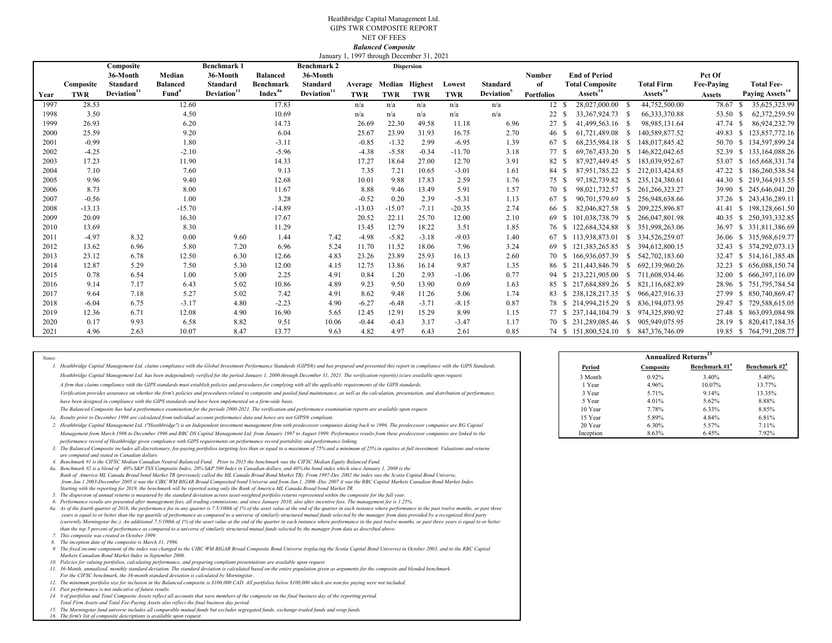#### Heathbridge Capital Management Ltd. GIPS TWR COMPOSITE REPORTNET OF FEES *Balanced Composite* January 1, 1997 through December 31, 2021

|      |            | Composite               |                   | <b>Benchmark 1</b>      |                     | <b>Benchmark 2</b>      |          |            | $J$ anuary 1, 1997 unough December 31, 2021<br><b>Dispersion</b> |          |                  |                   |     |                         |              |                                      |                   |     |                             |
|------|------------|-------------------------|-------------------|-------------------------|---------------------|-------------------------|----------|------------|------------------------------------------------------------------|----------|------------------|-------------------|-----|-------------------------|--------------|--------------------------------------|-------------------|-----|-----------------------------|
|      |            | 36-Month                | Median            | 36-Month                | <b>Balanced</b>     | 36-Month                |          |            |                                                                  |          |                  | Number            |     | <b>End of Period</b>    |              |                                      | Pct Of            |     |                             |
|      | Composite  | <b>Standard</b>         | <b>Balanced</b>   | <b>Standard</b>         | <b>Benchmark</b>    | <b>Standard</b>         | Average  |            | Median Highest                                                   | Lowest   | <b>Standard</b>  | of                |     | <b>Total Composite</b>  |              | <b>Total Firm</b>                    | <b>Fee-Paving</b> |     | <b>Total Fee-</b>           |
| Year | <b>TWR</b> | Deviation <sup>11</sup> | Fund <sup>4</sup> | Deviation <sup>11</sup> | Index <sup>4a</sup> | Deviation <sup>11</sup> | TWR      | <b>TWR</b> | <b>TWR</b>                                                       | TWR      | <b>Deviation</b> | <b>Portfolios</b> |     | Assets <sup>14</sup>    |              | Assets <sup>14</sup>                 | <b>Assets</b>     |     | Paying Assets <sup>14</sup> |
| 1997 | 28.53      |                         | 12.60             |                         | 17.83               |                         | n/a      | n/a        | n/a                                                              | n/a      | n/a              | 12 \$             |     | 28,027,000.00           | - S          | 44,752,500.00                        | 78.67             |     | 35,625,323.99               |
| 1998 | 3.50       |                         | 4.50              |                         | 10.69               |                         | n/a      | n/a        | n/a                                                              | n/a      | n/a              | 22                |     | 33, 367, 924, 73 \$     |              | 66, 333, 370.88                      | 53.50 \$          |     | 62,372,259.59               |
| 1999 | 26.93      |                         | 6.20              |                         | 14.73               |                         | 26.69    | 22.30      | 49.58                                                            | 11.18    | 6.96             | 27                | - S | 41,499,563.16 \$        |              | 98,985,131.64                        | 47.74             | -S  | 86,924,232.79               |
| 2000 | 25.59      |                         | 9.20              |                         | 6.04                |                         | 25.67    | 23.99      | 31.93                                                            | 16.75    | 2.70             | 46 S              |     | 61,721,489.08           | - S          | 140,589,877.52                       | 49.83             | -S  | 123,857,772.16              |
| 2001 | $-0.99$    |                         | 1.80              |                         | $-3.11$             |                         | $-0.85$  | $-1.32$    | 2.99                                                             | $-6.95$  | 1.39             | 67                | - S | 68,235,984.18           | - S          | 148,017,845.42                       | 50.70             | -S  | 134,597,899.24              |
| 2002 | $-4.25$    |                         | $-2.10$           |                         | $-5.96$             |                         | $-4.38$  | $-5.58$    | $-0.34$                                                          | $-11.70$ | 3.18             | 77 S              |     | 69, 767, 433. 20        | - S          | 146,822,042.65                       | 52.39             |     | \$133,164,088.26            |
| 2003 | 17.23      |                         | 11.90             |                         | 14.33               |                         | 17.27    | 18.64      | 27.00                                                            | 12.70    | 3.91             | 82 \$             |     | 87,927,449.45           | - S          | 183,039,952.67                       | 53.07             | -S  | 165,668,331.74              |
| 2004 | 7.10       |                         | 7.60              |                         | 9.13                |                         | 7.35     | 7.21       | 10.65                                                            | $-3.01$  | 1.61             | 84 S              |     | 87,951,785.22           | -S           | 212.013.424.85                       | 47.22             | -S  | 186,260,538.54              |
| 2005 | 9.96       |                         | 9.40              |                         | 12.68               |                         | 10.01    | 9.88       | 17.83                                                            | 2.59     | 1.76             | 75 S              |     | 97.182.739.82           | -S           | 235, 124, 380, 61                    | 44.30             | s.  | 219,364,913.55              |
| 2006 | 8.73       |                         | 8.00              |                         | 11.67               |                         | 8.88     | 9.46       | 13.49                                                            | 5.91     | 1.57             | 70 S              |     | 98,021,732.57           | S.           | 261.266.323.27                       |                   |     | 39.90 \$ 245,646,041.20     |
| 2007 | $-0.56$    |                         | 1.00              |                         | 3.28                |                         | $-0.52$  | 0.20       | 2.39                                                             | $-5.31$  | 1.13             | 67 S              |     | 90,701,579.69           | -S           | 256,948,638.66                       | 37.26             | -S  | 243,436,289.11              |
| 2008 | $-13.13$   |                         | $-15.70$          |                         | $-14.89$            |                         | $-13.03$ | $-15.07$   | $-7.11$                                                          | $-20.35$ | 2.74             | 66 S              |     | 82,046,827.58           | - S          | 209,225,896.87                       | 41.41 S           |     | 198,128,661.50              |
| 2009 | 20.09      |                         | 16.30             |                         | 17.67               |                         | 20.52    | 22.11      | 25.70                                                            | 12.00    | 2.10             | 69                |     | 101,038,738.79          | -S           | 266,047,801.98                       | 40.35             | -S. | 250, 393, 332.85            |
| 2010 | 13.69      |                         | 8.30              |                         | 11.29               |                         | 13.45    | 12.79      | 18.22                                                            | 3.51     | 1.85             |                   |     | 76 \$122,684,324.88     | $\mathbf{s}$ | 351,998,263.06                       | 36.97             |     | \$ 331,811,386.69           |
| 2011 | $-4.97$    | 8.32                    | 0.00              | 9.60                    | 1.44                | 7.42                    | $-4.98$  | $-5.82$    | $-3.18$                                                          | $-9.03$  | 1.40             | 67                | -S  | 113,938,873.01          | -S           | 334,526,259.07                       | 36.06             | -S  | 315,968,619.77              |
| 2012 | 13.62      | 6.96                    | 5.80              | 7.20                    | 6.96                | 5.24                    | 11.70    | 11.52      | 18.06                                                            | 7.96     | 3.24             |                   | -S  | 121,383,265.85          | - S          | 394,612,800.15                       |                   |     | 32.43 \$ 374,292,073.13     |
| 2013 | 23.12      | 6.78                    | 12.50             | 6.30                    | 12.66               | 4.83                    | 23.26    | 23.89      | 25.93                                                            | 16.13    | 2.60             | 70 S              |     | 166,936,057.39          | -S           | 542,702,183.60                       | 32.47             | -S  | 514, 161, 385, 48           |
| 2014 | 12.87      | 5.29                    | 7.50              | 5.30                    | 12.00               | 4.15                    | 12.75    | 13.86      | 16.14                                                            | 9.87     | 1.35             |                   |     | 86 \$211,443,846.79     | -S           | 692.139.960.26                       | $32.23$ \$        |     | 656,088,150.74              |
| 2015 | 0.78       | 6.54                    | 1.00              | 5.00                    | 2.25                | 4.91                    | 0.84     | 1.20       | 2.93                                                             | $-1.06$  | 0.77             | 94                | -S  | 213.221.905.00          | S.           | 711,608,934.46                       | 32.00             | -S  | 666, 397, 116.09            |
| 2016 | 9.14       | 7.17                    | 6.43              | 5.02                    | 10.86               | 4.89                    | 9.23     | 9.50       | 13.90                                                            | 0.69     | 1.63             | 85 S              |     | 217.684.889.26          | -S           | 821.116.682.89                       | 28.96 \$          |     | 751,795,784.54              |
| 2017 | 9.64       | 7.18                    | 5.27              | 5.02                    | 7.42                | 4.91                    | 8.62     | 9.48       | 11.26                                                            | 5.06     | 1.74             | 83                | -S  | 238.128.217.35          | -S           | 966,427,916.33                       | 27.99             | -S  | 850,740,869.47              |
| 2018 | $-6.04$    | 6.75                    | $-3.17$           | 4.80                    | $-2.23$             | 4.90                    | $-6.27$  | $-6.48$    | $-3.71$                                                          | $-8.15$  | 0.87             |                   |     | 78 \$ 214,994,215.29    | S            | 836, 194, 073. 95                    | 29.47             | -S  | 729,588,615.05              |
| 2019 | 12.36      | 6.71                    | 12.08             | 4.90                    | 16.90               | 5.65                    | 12.45    | 12.91      | 15.29                                                            | 8.99     | 1.15             | 77 S              |     | 237, 144, 104. 79       | -S           | 974,325,890.92                       | 27.48             | -S  | 863,093,084.98              |
| 2020 | 0.17       | 9.93                    | 6.58              | 8.82                    | 9.51                | 10.06                   | $-0.44$  | $-0.43$    | 3.17                                                             | $-3.47$  | 1.17             |                   |     | 70 \$ 231,289,085.46 \$ |              | 905,949,075.95                       | 28.19             | -S  | 820,417,184.35              |
| 2021 | 4.96       | 2.63                    | 10.07             | 8.47                    | 13.77               | 9.63                    | 4.82     | 4.97       | 6.43                                                             | 2.61     | 0.85             |                   |     |                         |              | 74 \$151,800,524.10 \$847,376,746.09 |                   |     | 19.85 \$764,791,208.77      |

*Notes:* **Annualized Returns<sup>13</sup>** 1. Heathbridge Capital Management Ltd. claims compliance with the Global Investment Performance Standards (GIPS®) and has prepared and presented this report in compliance with the GIPS Standards. **Period** *Heathbridge Capital Management Ltd. has been independently verified for the period January 1, 2000 through December 31, 2021. The verification report(s) is/are available upon request. A firm that claims compliance with the GIPS standards must establish policies and procedures for complying with all the applicable requirements of the GIPS standards.* 

*Verification provides assurance on whether the firm's policies and procedures related to composite and pooled fund maintenance, as well as the calculation, presentation, and distribution of performance,* 

*have been designed in compliance with the GIPS standards and have been implemented on a firm-wide basis.* 

*The Balanced Composite has had a performance examination for the periods 2000-2021. The verification and performance examination reports are available upon request.*

*1a.* Results prior to December 1998 are calculated from individual account performance data and hence are not GIPS® compliant. **All account of the calculation** of a subsequent of the state of the state of the state of the

2. Heathbridge Capital Management Ltd. ("Heathbridge") is an Independent investment management firm with predecessor companies dating back to 1996. The predecessor companies are RG Capital **1996. The controller are RG Capi** *Management from March 1996 to December 1996 and RBC DS Capital Management Ltd. from January 1997 to August 1999. Performance results from these predecessor companies are linked to the performance record of Heathbridge given compliance with GIPS requirements on performance record portability and performance linking.* 

*3. The Balanced Composite includes all discretionary, fee-paying portfolios targeting less than or equal to a maximum of 75% and a minimum of 25% in equities at full investment. Valuations and returns are computed and stated in Canadian dollars.*

*4. Benchmark #1 is the CIFSC Median Canadian Neutral Balanced Fund. Prior to 2015 the benchmark was the CIFSC Median Equity Balanced Fund.*

*4a. Benchmark #2 is a blend of 40% S&P TSX Composite Index, 20% S&P 500 Index in Canadian dollars, and 40% the bond index which since January 1, 2008 is the Bank of America ML Canada Broad bond Market TR (previously called the ML Canada Broad Bond Market TR). From 1997-Dec 2002 the index was the Scotia Capital Bond Universe, from Jan 1 2003-December 2005 it was the CIBC WM BIGAR Broad Composited bond Universe and from Jan 1, 2006 -Dec 2007 it was the RBC Capital Markets Canadian Bond Market Index. Starting with the reporting for 2019, the benchmark will be reported using only the Bank of America ML Canada Broad bond Market TR.*

*5. The dispersion of annual returns is measured by the standard deviation across asset-weighted portfolio returns represented within the composite for the full year. 6.Performance results are presented after management fees, all trading commissions, and since January 2010, also after incentive fees. The management fee is 1.25%.*

.<br>Ga. As of the fourth quarter of 2016, the performance fee in any quarter is 7.5/100th of 1% of the asset value at the end of the quarter in each instance where performance in the past twelve months, or past three *than the top 5 percent of performance as compared to a universe of similarly structured mutual funds selected by the manager from data as described above. years is equal to or better than the top quartile of performance as compared to a universe of similarly structured mutual funds selected by the manager from data provided by a recognized third party (currently Morningstar Inc.). An additional 7.5/100th of 1% of the asset value at the end of the quarter in each instance where performance in the past twelve months, or past three years is equal to or better* 

*7.This composite was created in October 1999.*

*8. The inception date of the compostie is March 31, 1996.*

**9.** The fixed income component of the index was changed to the CIBC WM BIGAR Broad Composite Bond Universe (replacing the Scotia Capital Bond Universe) in October 2003, and to the RBC Capital *Markets Canadian Bond Market Index in September 2006.*

- *10. Policies for valuing portfolios, calculating performance, and preparing compliant presentations are available upon request.*
- *11. 36-Month, annualized, monthly standard deviation. The standard deviation is calculated based on the entire population given as arguments for the composite and blended benchmark.*
- *For the CIFSC benchmark, the 36-month standard deviation is calculated by Morningstar.*

*12.The minimum portfolio size for inclusion in the Balanced composite is \$100,000 CAD. All portfolios below \$100,000 which are non-fee paying were not included. 13.Past performance is not indicative of future results.*

- 
- *14. # of portfolios and Total Composite Assets reflect all accounts that were members of the composite on the final business day of the reporting period. Total Firm Assets and Total Fee-Paying Assets also reflect the final business day period.*
- *15. The Morningstar fund universe includes all comparable mutual funds but excludes segregated funds, exchange-traded funds and wrap funds. 16.The firm's list of composite descriptions is available upon request.*

|           | Annuanzeu Returns |                  |                  |
|-----------|-------------------|------------------|------------------|
| Period    | Composite         | Benchmark $#1^4$ | Benchmark $#2^4$ |
| 3 Month   | 0.92%             | 3.40%            | 5.40%            |
| 1 Year    | 4.96%             | 10.07%           | 13.77%           |
| 3 Year    | 5.71%             | 9.14%            | 13.35%           |
| 5 Year    | 4.01%             | 5.62%            | 8.88%            |
| 10 Year   | 7.78%             | 6.33%            | 8.85%            |
| 15 Year   | 5.89%             | 4.84%            | 6.81%            |
| 20 Year   | 6.30%             | 5.57%            | 7.11%            |
| Inception | 8.63%             | 6.45%            | 7.92%            |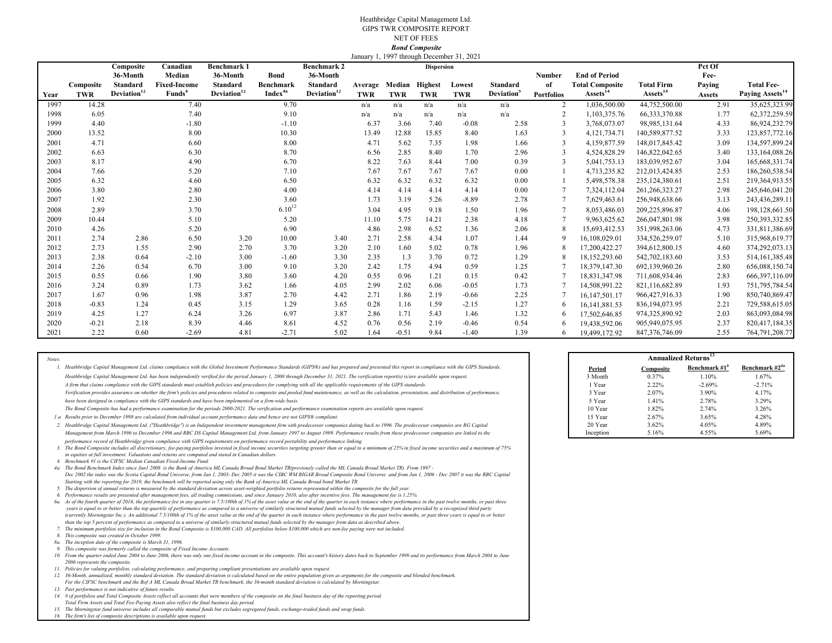#### Heathbridge Capital Management Ltd. GIPS TWR COMPOSITE REPORTNET OF FEES *Bond Composite* January 1, 1997 through December 31, 2021

|      |            | Composite               | Canadian            | <b>Benchmark 1</b>      |                     | <b>Benchmark 2</b>      |            |            | <b>Dispersion</b> | $J$ anuary 1, 1997 unough December 31, 2021 |                        |                   |                        |                      | Pct Of        |                             |
|------|------------|-------------------------|---------------------|-------------------------|---------------------|-------------------------|------------|------------|-------------------|---------------------------------------------|------------------------|-------------------|------------------------|----------------------|---------------|-----------------------------|
|      |            | 36-Month                | Median              | 36-Month                | <b>Bond</b>         | 36-Month                |            |            |                   |                                             |                        | <b>Number</b>     | <b>End of Period</b>   |                      | Fee-          |                             |
|      | Composite  | Standard                | <b>Fixed-Income</b> | <b>Standard</b>         | <b>Benchmark</b>    | Standard                | Average    | Median     | <b>Highest</b>    | Lowest                                      | <b>Standard</b>        | of                | <b>Total Composite</b> | <b>Total Firm</b>    | Paying        | <b>Total Fee-</b>           |
| Year | <b>TWR</b> | Deviation <sup>12</sup> | Funds <sup>4</sup>  | Deviation <sup>12</sup> | Index <sup>4a</sup> | Deviation <sup>12</sup> | <b>TWR</b> | <b>TWR</b> | <b>TWR</b>        | <b>TWR</b>                                  | Deviation <sup>3</sup> | <b>Portfolios</b> | Assets <sup>14</sup>   | Assets <sup>14</sup> | <b>Assets</b> | Paying Assets <sup>14</sup> |
| 1997 | 14.28      |                         | 7.40                |                         | 9.70                |                         | n/a        | n/a        | n/a               | n/a                                         | n/a                    | $\overline{2}$    | 1,036,500.00           | 44,752,500.00        | 2.91          | 35,625,323.99               |
| 1998 | 6.05       |                         | 7.40                |                         | 9.10                |                         | n/a        | n/a        | n/a               | n/a                                         | n/a                    |                   | 1.103.375.76           | 66, 333, 370.88      | 1.77          | 62,372,259.59               |
| 1999 | 4.40       |                         | $-1.80$             |                         | $-1.10$             |                         | 6.37       | 3.66       | 7.40              | $-0.08$                                     | 2.58                   |                   | 3,768,073.07           | 98,985,131.64        | 4.33          | 86,924,232.79               |
| 2000 | 13.52      |                         | 8.00                |                         | 10.30               |                         | 13.49      | 12.88      | 15.85             | 8.40                                        | 1.63                   |                   | 4,121,734.71           | 140,589,877.52       | 3.33          | 123,857,772.16              |
| 2001 | 4.71       |                         | 6.60                |                         | 8.00                |                         | 4.71       | 5.62       | 7.35              | 1.98                                        | 1.66                   |                   | 4.159.877.59           | 148,017,845.42       | 3.09          | 134,597,899.24              |
| 2002 | 6.63       |                         | 6.30                |                         | 8.70                |                         | 6.56       | 2.85       | 8.40              | 1.70                                        | 2.96                   |                   | 4,524,828.29           | 146,822,042.65       | 3.40          | 133, 164, 088. 26           |
| 2003 | 8.17       |                         | 4.90                |                         | 6.70                |                         | 8.22       | 7.63       | 8.44              | 7.00                                        | 0.39                   |                   | 5,041,753.13           | 183,039,952.67       | 3.04          | 165,668,331.74              |
| 2004 | 7.66       |                         | 5.20                |                         | 7.10                |                         | 7.67       | 7.67       | 7.67              | 7.67                                        | 0.00                   |                   | 4,713,235.82           | 212,013,424.85       | 2.53          | 186,260,538.54              |
| 2005 | 6.32       |                         | 4.60                |                         | 6.50                |                         | 6.32       | 6.32       | 6.32              | 6.32                                        | 0.00                   |                   | 5,498,578.38           | 235,124,380.61       | 2.51          | 219,364,913.55              |
| 2006 | 3.80       |                         | 2.80                |                         | 4.00                |                         | 4.14       | 4.14       | 4.14              | 4.14                                        | 0.00                   |                   | 7,324,112.04           | 261, 266, 323. 27    | 2.98          | 245,646,041.20              |
| 2007 | 1.92       |                         | 2.30                |                         | 3.60                |                         | 1.73       | 3.19       | 5.26              | $-8.89$                                     | 2.78                   |                   | 7,629,463.61           | 256,948,638.66       | 3.13          | 243,436,289.11              |
| 2008 | 2.89       |                         | 3.70                |                         | $6.10^{12}$         |                         | 3.04       | 4.95       | 9.18              | 1.50                                        | 1.96                   |                   | 8.053.486.03           | 209,225,896.87       | 4.06          | 198,128,661.50              |
| 2009 | 10.44      |                         | 5.10                |                         | 5.20                |                         | 11.10      | 5.75       | 14.21             | 2.38                                        | 4.18                   |                   | 9,963,625.62           | 266,047,801.98       | 3.98          | 250, 393, 332.85            |
| 2010 | 4.26       |                         | 5.20                |                         | 6.90                |                         | 4.86       | 2.98       | 6.52              | 1.36                                        | 2.06                   | 8                 | 15,693,412.53          | 351,998,263.06       | 4.73          | 331,811,386.69              |
| 2011 | 2.74       | 2.86                    | 6.50                | 3.20                    | 10.00               | 3.40                    | 2.71       | 2.58       | 4.34              | 1.07                                        | 1.44                   |                   | 16,108,029.01          | 334,526,259.07       | 5.10          | 315,968,619.77              |
| 2012 | 2.73       | 1.55                    | 2.90                | 2.70                    | 3.70                | 3.20                    | 2.10       | 1.60       | 5.02              | 0.78                                        | 1.96                   |                   | 17,200,422.27          | 394,612,800.15       | 4.60          | 374,292,073.13              |
| 2013 | 2.38       | 0.64                    | $-2.10$             | 3.00                    | $-1.60$             | 3.30                    | 2.35       | 1.3        | 3.70              | 0.72                                        | 1.29                   |                   | 18,152,293.60          | 542,702,183.60       | 3.53          | 514, 161, 385. 48           |
| 2014 | 2.26       | 0.54                    | 6.70                | 3.00                    | 9.10                | 3.20                    | 2.42       | 1.75       | 4.94              | 0.59                                        | 1.25                   |                   | 18,379,147.30          | 692,139,960.26       | 2.80          | 656,088,150.74              |
| 2015 | 0.55       | 0.66                    | 1.90                | 3.80                    | 3.60                | 4.20                    | 0.55       | 0.96       | 1.21              | 0.15                                        | 0.42                   |                   | 18,831,347.98          | 711,608,934.46       | 2.83          | 666, 397, 116.09            |
| 2016 | 3.24       | 0.89                    | 1.73                | 3.62                    | 1.66                | 4.05                    | 2.99       | 2.02       | 6.06              | $-0.05$                                     | 1.73                   |                   | 14.508.991.22          | 821,116,682.89       | 1.93          | 751, 795, 784.54            |
| 2017 | 1.67       | 0.96                    | 1.98                | 3.87                    | 2.70                | 4.42                    | 2.71       | 1.86       | 2.19              | $-0.66$                                     | 2.25                   |                   | 16,147,501.17          | 966,427,916.33       | 1.90          | 850,740,869.47              |
| 2018 | $-0.83$    | 1.24                    | 0.45                | 3.15                    | 1.29                | 3.65                    | 0.28       | 1.16       | 1.59              | $-2.15$                                     | 1.27                   | 6                 | 16, 141, 881.53        | 836, 194, 073. 95    | 2.21          | 729,588,615.05              |
| 2019 | 4.25       | 1.27                    | 6.24                | 3.26                    | 6.97                | 3.87                    | 2.86       | 1.71       | 5.43              | 1.46                                        | 1.32                   |                   | 17,502,646.85          | 974,325,890.92       | 2.03          | 863,093,084.98              |
| 2020 | $-0.21$    | 2.18                    | 8.39                | 4.46                    | 8.61                | 4.52                    | 0.76       | 0.56       | 2.19              | $-0.46$                                     | 0.54                   |                   | 19.438.592.06          | 905,949,075.95       | 2.37          | 820, 417, 184. 35           |
| 2021 | 2.22       | 0.60                    | $-2.69$             | 4.81                    | $-2.71$             | 5.02                    | 1.64       | $-0.51$    | 9.84              | $-1.40$                                     | 1.39                   |                   | 19,499,172.92          | 847,376,746.09       | 2.55          | 764,791,208.77              |

2. Heathbridge Capital Management Ltd. ("Heathbridge") is an Independent investment management firm with predecessor companies dating back to 1996. The predecessor companies are RG Capital **1996 Capital 1996** 20 Year 20 Ye *Management from March 1996 to December 1996 and RBC DS Capital Management Ltd. from January 1997 to August 1999. Performance results from these predecessor companies are linked to the* 

*3. The Bond Composite includes all discretionary, fee-paying portfolios invested in fixed income securities targeting greater than or equal to a minimum of 25% in fixed income securities and a maximum of 75% in equities at full investment. Valuations and returns are computed and stated in Canadian dollars. performance record of Heathbridge given compliance with GIPS requirements on performance record portability and performance linking.* 

*4.Benchmark #1 is the CIFSC Median Canadian Fixed-Income Fund.*

*Aa.* The Bond Benchmark Index since Jan1 2008 is the Bank of America ML Canada Broad Bond Market TR(previously called the ML Canada Broad Market TR). From 1997 -*Starting with the reporting for 2019, the benchmark will be reported using only the Bank of America ML Canada Broad bond Market TR. Dec 2002 the index was the Scotia Capital Bond Universe, from Jan 1, 2003- Dec 2005 it was the CIBC WM BIGAR Broad Composite Bond Universe and from Jan 1, 2006 - Dec 2007 it was the RBC Capital* 

- 
- *5.The dispersion of annual returns is measured by the standard deviation across asset-weighted portfolio returns represented within the composite for the full year. 6.Performance results are presented after management fees, all trading commissions, and since January 2010, also after incentive fees. The management fee is 1.25%.*
- .<br>Ga. As of the fourth quarter of 2016, the performance fee in any quarter is 7.5/100th of 1% of the asset value at the end of the quarter in each instance where performance in the past twelve months, or past three  *years is equal to or better than the top quartile of performance as compared to a universe of similarly structured mutual funds selected by the manager from data provided by a recognized third party (currently Morningstar Inc.). An additional 7.5/100th of 1% of the asset value at the end of the quarter in each instance where performance in the past twelve months, or past three years is equal to or better than the top 5 percent of performance as compared to a universe of similarly structured mutual funds selected by the manager from data as described above.*
- *7.The minimum portfolios size for inclusion in the Bond Composite is \$100,000 CAD. All portfolios below \$100,000 which are non-fee paying were not included.*
- *8.This composite was created in October 1999.*

*Notes:*

- *8a. The inception date of the composite is March 31, 1996.*
- *9.This composite was formerly called the composite of Fixed Income Accounts.*

**10. From the quarter ended June 2004 to June 2006, there was only one fixed income account in the composite. This account's history dates back to September 1999 and its performance from March 2004 to June** *2006 represents the composite.*

*11. Policies for valuing portfolios, calculating performance, and preparing compliant presentations are available upon request.*

12. 36-Month, annualized, monthly standard deviation. The standard deviation is calculated based on the entire population given as arguments for the composite and blended benchmark. *For the CIFSC benchmark and the Bof A ML Canada Broad Market TR benchmark, the 36-month standard deviation is calculated by Morningstar.*

- *13.Past performance is not indicative of future results.*
- *14. # of portfolios and Total Composite Assets reflect all accounts that were members of the composite on the final business day of the reporting period. Total Firm Assets and Total Fee-Paying Assets also reflect the final business day period.*
- *15. The Morningstar fund universe includes all comparable mutual funds but excludes segregated funds, exchange-traded funds and wrap funds.*

*16.The firm's list of composite descriptions is available upon request.*

|                                                                                                                                                                                                            |           |                  | <b>Annualized Returns</b> <sup>13</sup> |                     |  |  |
|------------------------------------------------------------------------------------------------------------------------------------------------------------------------------------------------------------|-----------|------------------|-----------------------------------------|---------------------|--|--|
| Heathbridge Capital Management Ltd. claims compliance with the Global Investment Performance Standards (GIPS®) and has prepared and presented this report in compliance with the GIPS Standards.           | Period    | <b>Composite</b> | Benchmark #                             | Benchmark $#2^{4a}$ |  |  |
| Heathbridge Capital Management Ltd. has been independently verified for the period January 1, 2000 through December 31, 2021. The verification report(s) is/are available upon request.                    | 3 Month   | 0.37%            | 1.10%                                   | 1.67%               |  |  |
| A firm that claims compliance with the GIPS standards must establish policies and procedures for complying with all the applicable requirements of the GIPS standards.                                     | Year      | 2.22%            | $-2.69%$                                | $-2.71%$            |  |  |
| Verification provides assurance on whether the firm's policies and procedures related to composite and pooled fund maintenance, as well as the calculation, presentation, and distribution of performance, | 3 Year    | 2.07%            | 3.90%                                   | 4.17%               |  |  |
| have been designed in compliance with the GIPS standards and have been implemented on a firm-wide basis.                                                                                                   | 5 Year    | 1.41%            | 2.78%                                   | 3.29%               |  |  |
| The Bond Composite has had a performance examination for the periods 2000-2021. The verification and performance examination reports are available upon request.                                           | 10 Year   | 1.82%            | 2.74%                                   | 3.26%               |  |  |
| Results prior to December 1998 are calculated from individual account performance data and hence are not GIPS® compliant.                                                                                  | 15 Year   | 2.67%            | 3.65%                                   | 4.28%               |  |  |
| Heathbridge Capital Management Ltd. ("Heathbridge") is an Independent investment management firm with predecessor companies dating back to 1996. The predecessor companies are RG Capital                  | 20 Year   | 3.62%            | 4.05%                                   | 4.89%               |  |  |
| Management from March 1996 to December 1996 and RBC DS Capital Management Ltd. from January 1997 to August 1999. Performance results from these predecessor companies are linked to the                    | Inception | 5.16%            | 4.55%                                   | 5.69%               |  |  |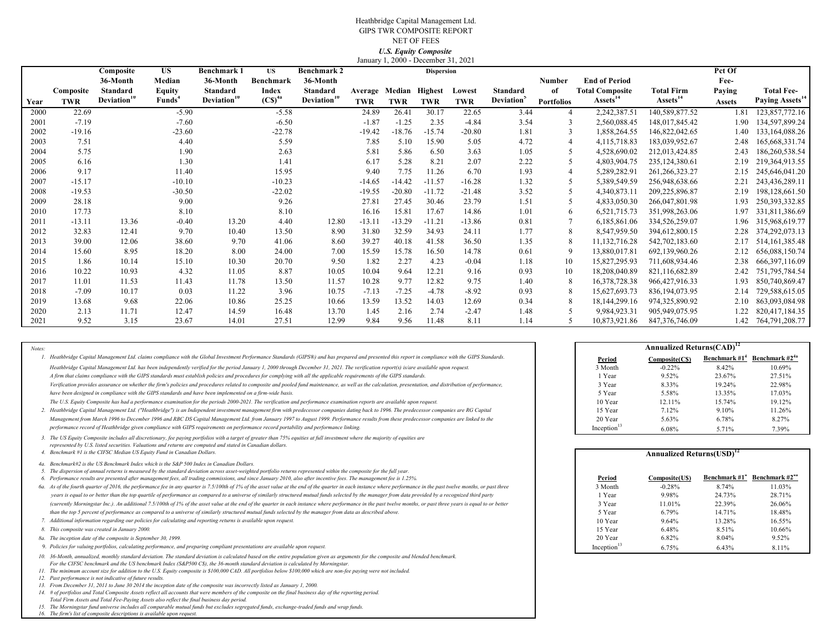#### Heathbridge Capital Management Ltd. GIPS TWR COMPOSITE REPORT NET OF FEES*U.S. Equity Composite* January 1, 2000 - December 31, 2021

|      |            | Composite               | <b>US</b>          | <b>Benchmark 1</b>      | US                              | <b>Benchmark 2</b>      |            |                | $sum_{i,j}$ , $1, 2000$ Becember 91, $2021$<br><b>Dispersion</b> |            |                               |                   |                        |                      | Pct Of        |                             |
|------|------------|-------------------------|--------------------|-------------------------|---------------------------------|-------------------------|------------|----------------|------------------------------------------------------------------|------------|-------------------------------|-------------------|------------------------|----------------------|---------------|-----------------------------|
|      |            | 36-Month                | Median             | 36-Month                | Benchmark                       | 36-Month                |            |                |                                                                  |            |                               | Number            | <b>End of Period</b>   |                      | Fee-          |                             |
|      | Composite  | Standard                | <b>Equity</b>      | Standard                | Index                           | <b>Standard</b>         | Average    | Median Highest |                                                                  | Lowest     | Standard                      | of                | <b>Total Composite</b> | Total Firm           | Paying        | <b>Total Fee-</b>           |
| Year | <b>TWR</b> | Deviation <sup>11</sup> | Funds <sup>4</sup> | Deviation <sup>10</sup> | $\left(\mathrm{CS}\right)^{4a}$ | Deviation <sup>10</sup> | <b>TWR</b> | <b>TWR</b>     | <b>TWR</b>                                                       | <b>TWR</b> | <b>Deviation</b> <sup>3</sup> | <b>Portfolios</b> | Assets <sup>14</sup>   | Assets <sup>14</sup> | <b>Assets</b> | Paying Assets <sup>14</sup> |
| 2000 | 22.69      |                         | $-5.90$            |                         | $-5.58$                         |                         | 24.89      | 26.41          | 30.17                                                            | 22.65      | 3.44                          |                   | 2,242,387.51           | 140,589,877.52       | 1.81          | 123,857,772.16              |
| 2001 | $-7.19$    |                         | $-7.60$            |                         | $-6.50$                         |                         | $-1.87$    | $-1.25$        | 2.35                                                             | $-4.84$    | 3.54                          | 3                 | 2,560,088.45           | 148,017,845.42       | 1.90          | 134,597,899.24              |
| 2002 | $-19.16$   |                         | $-23.60$           |                         | $-22.78$                        |                         | $-19.42$   | $-18.76$       | $-15.74$                                                         | $-20.80$   | 1.81                          | 3                 | 1,858,264.55           | 146,822,042.65       | 1.40          | 133, 164, 088. 26           |
| 2003 | 7.51       |                         | 4.40               |                         | 5.59                            |                         | 7.85       | 5.10           | 15.90                                                            | 5.05       | 4.72                          | 4                 | 4, 115, 718.83         | 183,039,952.67       | 2.48          | 165, 668, 331. 74           |
| 2004 | 5.75       |                         | 1.90               |                         | 2.63                            |                         | 5.81       | 5.86           | 6.50                                                             | 3.63       | 1.05                          |                   | 4.528.690.02           | 212,013,424.85       | 2.43          | 186,260,538.54              |
| 2005 | 6.16       |                         | 1.30               |                         | 1.41                            |                         | 6.17       | 5.28           | 8.21                                                             | 2.07       | 2.22                          |                   | 4,803,904.75           | 235, 124, 380.61     | 2.19          | 219,364,913.55              |
| 2006 | 9.17       |                         | 11.40              |                         | 15.95                           |                         | 9.40       | 7.75           | 11.26                                                            | 6.70       | 1.93                          |                   | 5,289,282.91           | 261, 266, 323. 27    | 2.15          | 245,646,041.20              |
| 2007 | $-15.17$   |                         | $-10.10$           |                         | $-10.23$                        |                         | $-14.65$   | $-14.42$       | $-11.57$                                                         | $-16.28$   | 1.32                          |                   | 5,389,549.59           | 256,948,638.66       | 2.21          | 243,436,289.11              |
| 2008 | $-19.53$   |                         | $-30.50$           |                         | $-22.02$                        |                         | $-19.55$   | $-20.80$       | $-11.72$                                                         | $-21.48$   | 3.52                          |                   | 4,340,873.11           | 209,225,896.87       | 2.19          | 198, 128, 661.50            |
| 2009 | 28.18      |                         | 9.00               |                         | 9.26                            |                         | 27.81      | 27.45          | 30.46                                                            | 23.79      | 1.51                          |                   | 4,833,050.30           | 266,047,801.98       | 1.93          | 250, 393, 332.85            |
| 2010 | 17.73      |                         | 8.10               |                         | 8.10                            |                         | 16.16      | 15.81          | 17.67                                                            | 14.86      | 1.01                          | 6                 | 6,521,715.73           | 351,998,263.06       | 1.97          | 331,811,386.69              |
| 2011 | $-13.11$   | 13.36                   | $-0.40$            | 13.20                   | 4.40                            | 12.80                   | $-13.11$   | $-13.29$       | $-11.21$                                                         | $-13.86$   | 0.81                          |                   | 6,185,861.06           | 334,526,259.07       | 1.96          | 315,968,619.77              |
| 2012 | 32.83      | 12.41                   | 9.70               | 10.40                   | 13.50                           | 8.90                    | 31.80      | 32.59          | 34.93                                                            | 24.11      | 1.77                          | 8                 | 8,547,959.50           | 394,612,800.15       | 2.28          | 374,292,073.13              |
| 2013 | 39.00      | 12.06                   | 38.60              | 9.70                    | 41.06                           | 8.60                    | 39.27      | 40.18          | 41.58                                                            | 36.50      | 1.35                          | 8                 | 11,132,716.28          | 542,702,183.60       | 2.17          | 514, 161, 385. 48           |
| 2014 | 15.60      | 8.95                    | 18.20              | 8.00                    | 24.00                           | 7.00                    | 15.59      | 15.78          | 16.50                                                            | 14.78      | 0.61                          | 9                 | 13,880,017.81          | 692,139,960.26       | 2.12          | 656,088,150.74              |
| 2015 | 1.86       | 10.14                   | 15.10              | 10.30                   | 20.70                           | 9.50                    | 1.82       | 2.27           | 4.23                                                             | $-0.04$    | 1.18                          | 10                | 15,827,295.93          | 711,608,934.46       | 2.38          | 666, 397, 116.09            |
| 2016 | 10.22      | 10.93                   | 4.32               | 11.05                   | 8.87                            | 10.05                   | 10.04      | 9.64           | 12.21                                                            | 9.16       | 0.93                          | 10                | 18,208,040.89          | 821,116,682.89       | 2.42          | 751,795,784.54              |
| 2017 | 11.01      | 11.53                   | 11.43              | 11.78                   | 13.50                           | 11.57                   | 10.28      | 9.77           | 12.82                                                            | 9.75       | 1.40                          | 8                 | 16,378,728.38          | 966,427,916.33       | 1.93          | 850,740,869.47              |
| 2018 | $-7.09$    | 10.17                   | 0.03               | 11.22                   | 3.96                            | 10.75                   | $-7.13$    | $-7.25$        | $-4.78$                                                          | $-8.92$    | 0.93                          | 8                 | 15,627,693.73          | 836, 194, 073. 95    | 2.14          | 729,588,615.05              |
| 2019 | 13.68      | 9.68                    | 22.06              | 10.86                   | 25.25                           | 10.66                   | 13.59      | 13.52          | 14.03                                                            | 12.69      | 0.34                          | 8                 | 18, 144, 299. 16       | 974,325,890.92       | 2.10          | 863,093,084.98              |
| 2020 | 2.13       | 11.71                   | 12.47              | 14.59                   | 16.48                           | 13.70                   | 1.45       | 2.16           | 2.74                                                             | $-2.47$    | 1.48                          |                   | 9,984,923.31           | 905,949,075.95       | 1.22          | 820,417,184.35              |
| 2021 | 9.52       | 3.15                    | 23.67              | 14.01                   | 27.51                           | 12.99                   | 9.84       | 9.56           | 11.48                                                            | 8.11       | 1.14                          | 5.                | 10.873.921.86          | 847, 376, 746, 09    | 1.42          | 764,791,208.77              |

*Notes:*

*3. The US Equity Composite includes all discretionary, fee paying portfolios with a target of greater than 75% equities at full investment where the majority of equities are represented by U.S. listed securities. Valuations and returns are computed and stated in Canadian dollars.*

- *4a. Benchmark#2 is the US Benchmark Index which is the S&P 500 Index in Canadian Dollars.*
- *5. The dispersion of annual returns is measured by the standard deviation across asset-weighted portfolio returns represented within the composite for the full year.*

- 60. As of the fourth quarter of 2016, the performance fee in any quarter is 7.5/100th of 1% of the asset value at the end of the quarter in each instance where performance in the past twelve months, or past three  $\blacksquare$  3 *than the top 5 percent of performance as compared to a universe of similarly structured mutual funds selected by the manager from data as described above. (currently Morningstar Inc.). An additional 7.5/100th of 1% of the asset value at the end of the quarter in each instance where performance in the past twelve months, or past three years is equal to or better years is equal to or better than the top quartile of performance as compared to a universe of similarly structured mutual funds selected by the manager from data provided by a recognized third party*
- 

- 
- 

*10. 36-Month, annualized, monthly standard deviation. The standard deviation is calculated based on the entire population given as arguments for the composite and blended benchmark. For the CIFSC benchmark and the US benchmark Index (S&P500 C\$), the 36-month standard deviation is calculated by Morningstar.*

*11. The minimum account size for addition to the U.S. Equity composite is \$100,000 CAD. All portfolios below \$100,000 which are non-fee paying were not included.*

*12. Past performance is not indicative of future results.*

- *13. From December 31, 2011 to June 30 2014 the inception date of the composite was incorrectly listed as January 1, 2000.*
- *14. # of portfolios and Total Composite Assets reflect all accounts that were members of the composite on the final business day of the reporting period. Total Firm Assets and Total Fee-Paying Assets also reflect the final business day period.*
- *15. The Morningstar fund universe includes all comparable mutual funds but excludes segregated funds, exchange-traded funds and wrap funds.*

*16.The firm's list of composite descriptions is available upon request.*

|                                                                                                                                                                                                            | <b>Annualized Returns(CAD)</b> <sup>12</sup> |               |                  |                            |  |
|------------------------------------------------------------------------------------------------------------------------------------------------------------------------------------------------------------|----------------------------------------------|---------------|------------------|----------------------------|--|
| Heathbridge Capital Management Ltd. claims compliance with the Global Investment Performance Standards (GIPS®) and has prepared and presented this report in compliance with the GIPS Standards.           | Period                                       | Composite(CS) | Benchmark $#1^4$ | Benchmark #2 <sup>4a</sup> |  |
| Heathbridge Capital Management Ltd. has been independently verified for the period January 1, 2000 through December 31, 2021. The verification report(s) is/are available upon request.                    | 3 Month                                      | $-0.22%$      | 8.42%            | 10.69%                     |  |
| A firm that claims compliance with the GIPS standards must establish policies and procedures for complying with all the applicable requirements of the GIPS standards.                                     | Year                                         | 9.52%         | 23.67%           | 27.51%                     |  |
| Verification provides assurance on whether the firm's policies and procedures related to composite and pooled fund maintenance, as well as the calculation, presentation, and distribution of performance, | 3 Year                                       | 8.33%         | 19.24%           | 22.98%                     |  |
| have been designed in compliance with the GIPS standards and have been implemented on a firm-wide basis.                                                                                                   | 5 Year                                       | 5.58%         | 13.35%           | 17.03%                     |  |
| The U.S. Equity Composite has had a performance examination for the periods 2000-2021. The verification and performance examination reports are available upon request.                                    | 10 Year                                      | 12.11%        | 15.74%           | 19.12%                     |  |
| Heathbridge Capital Management Ltd. ("Heathbridge") is an Independent investment management firm with predecessor companies dating back to 1996. The predecessor companies are RG Capital                  | 15 Year                                      | 7.12%         | 9.10%            | 11.26%                     |  |
| Management from March 1996 to December 1996 and RBC DS Capital Management Ltd. from January 1997 to August 1999. Performance results from these predecessor companies are linked to the                    | 20 Year                                      | 5.63%         | 6.78%            | 8.27%                      |  |
| performance record of Heathbridge given compliance with GIPS requirements on performance record portability and performance linking.                                                                       | Inception <sup>13</sup>                      | 6.08%         | 5.71%            | 7.39%                      |  |

| Benchmark #1 is the CIFSC Median US Equity Fund in Canadian Dollars.                                                                                                                                                 |                         | <b>Annualized Returns(USD)</b> <sup>12</sup> |                           |                            |
|----------------------------------------------------------------------------------------------------------------------------------------------------------------------------------------------------------------------|-------------------------|----------------------------------------------|---------------------------|----------------------------|
| 4a. Benchmark#2 is the US Benchmark Index which is the S&P 500 Index in Canadian Dollars.                                                                                                                            |                         |                                              |                           |                            |
| 5. The dispersion of annual returns is measured by the standard deviation across asset-weighted portfolio returns represented within the composite for the full year.                                                |                         |                                              |                           |                            |
| 6. Performance results are presented after management fees, all trading commissions, and since January 2010, also after incentive fees. The management fee is 1.25%.                                                 | Period                  | Composite(U\$)                               | Benchmark #1 <sup>*</sup> | Benchmark #2 <sup>4a</sup> |
| 6a. As of the fourth quarter of 2016, the performance fee in any quarter is 7.5/100th of 1% of the asset value at the end of the quarter in each instance where performance in the past twelve months, or past three | 3 Month                 | $-0.28%$                                     | 8.74%                     | 11.03%                     |
| years is equal to or better than the top quartile of performance as compared to a universe of similarly structured mutual funds selected by the manager from data provided by a recognized third party               | 1 Year                  | 9.98%                                        | 24.73%                    | 28.71%                     |
| (currently Morningstar Inc.). An additional 7.5/100th of 1% of the asset value at the end of the quarter in each instance where performance in the past twelve months, or past three years is equal to or better     | 3 Year                  | 11.01%                                       | 22.39%                    | 26.06%                     |
| than the top 5 percent of performance as compared to a universe of similarly structured mutual funds selected by the manager from data as described above.                                                           | 5 Year                  | 6.79%                                        | 14.71%                    | 18.48%                     |
| Additional information regarding our policies for calculating and reporting returns is available upon request.                                                                                                       | 10 Year                 | 9.64%                                        | 13.28%                    | 16.55%                     |
| 8. This composite was created in January 2000.                                                                                                                                                                       | 15 Year                 | 6.48%                                        | 8.51%                     | 10.66%                     |
| 8a. The inception date of the composite is September 30, 1999.                                                                                                                                                       | 20 Year                 | 6.82%                                        | 8.04%                     | 9.52%                      |
| 9. Policies for valuing portfolios, calculating performance, and preparing compliant presentations are available upon request.                                                                                       | Inception <sup>12</sup> | 6.75%                                        | 6.43%                     | 8.11%                      |
|                                                                                                                                                                                                                      |                         |                                              |                           |                            |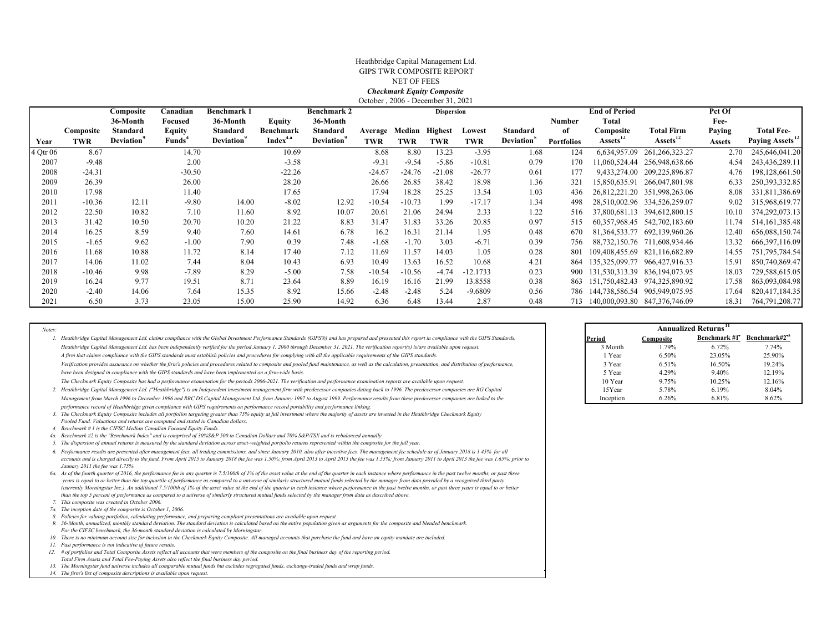#### October , 2006 - December 31, 2021 Heathbridge Capital Management Ltd. GIPS TWR COMPOSITE REPORTNET OF FEES*Checkmark Equity Composite*

|          |           | Composite        | Canadian           | <b>Benchmark 1</b> |                      | <b>Benchmark 2</b> |            |            | <b>Dispersion</b> |            |                        |                   | <b>End of Period</b>  |                                    | Pct Of        |                             |
|----------|-----------|------------------|--------------------|--------------------|----------------------|--------------------|------------|------------|-------------------|------------|------------------------|-------------------|-----------------------|------------------------------------|---------------|-----------------------------|
|          |           | 36-Month         | Focused            | 36-Month           | Equity               | 36-Month           |            |            |                   |            |                        | Number            | Total                 |                                    | Fee-          |                             |
|          | Composite | Standard         | Equity             | Standard           | Benchmark            | Standard           | Average    | Median     | <b>Highest</b>    | Lowest     | Standard               | of                | Composite             | <b>Total Firm</b>                  | Paying        | <b>Total Fee-</b>           |
| Year     | TWR       | <b>Deviation</b> | Funds <sup>*</sup> | <b>Deviation</b>   | Index <sup>4.a</sup> | <b>Deviation</b>   | <b>TWR</b> | <b>TWR</b> | <b>TWR</b>        | TWR        | Deviation <sup>2</sup> | <b>Portfolios</b> | Assets <sup>12</sup>  | Assets <sup>12</sup>               | <b>Assets</b> | Paying Assets <sup>12</sup> |
| 4 Otr 06 | 8.67      |                  | 14.70              |                    | 10.69                |                    | 8.68       | 8.80       | 13.23             | $-3.95$    | 1.68                   | 124               | 6,634,957.09          | 261, 266, 323. 27                  | 2.70          | 245,646,041.20              |
| 2007     | $-9.48$   |                  | 2.00               |                    | $-3.58$              |                    | $-9.31$    | $-9.54$    | $-5.86$           | $-10.81$   | 0.79                   | .70               | 11,060,524.44         | 256,948,638.66                     | 4.54          | 243,436,289.11              |
| 2008     | $-24.31$  |                  | $-30.50$           |                    | $-22.26$             |                    | $-24.67$   | $-24.76$   | $-21.08$          | $-26.77$   | 0.61                   | 177               | 9,433,274.00          | 209,225,896.87                     | 4.76          | 198,128,661.50              |
| 2009     | 26.39     |                  | 26.00              |                    | 28.20                |                    | 26.66      | 26.85      | 38.42             | 18.98      | 1.36                   | 321               | 15.850.635.91         | 266,047,801.98                     | 6.33          | 250, 393, 332.85            |
| 2010     | 17.98     |                  | 11.40              |                    | 17.65                |                    | 17.94      | 18.28      | 25.25             | 13.54      | 1.03                   | 436               | 26,812,221.20         | 351,998,263.06                     | 8.08          | 331,811,386.69              |
| 2011     | $-10.36$  | 12.11            | $-9.80$            | 14.00              | $-8.02$              | 12.92              | $-10.54$   | $-10.73$   | 1.99              | $-17.17$   | 1.34                   | 498               |                       | 28,510,002.96 334,526,259.07       | 9.02          | 315,968,619.77              |
| 2012     | 22.50     | 10.82            | 7.10               | 11.60              | 8.92                 | 10.07              | 20.61      | 21.06      | 24.94             | 2.33       | 1.22                   | 516               | 37,800,681.13         | 394,612,800.15                     | 10.10         | 374,292,073.13              |
| 2013     | 31.42     | 10.50            | 20.70              | 10.20              | 21.22                | 8.83               | 31.47      | 31.83      | 33.26             | 20.85      | 0.97                   | 515               |                       | 60, 357, 968. 45 542, 702, 183. 60 | 11.74         | 514, 161, 385. 48           |
| 2014     | 16.25     | 8.59             | 9.40               | 7.60               | 14.61                | 6.78               | 16.2       | 16.31      | 21.14             | 1.95       | 0.48                   | 670               | 81, 364, 533. 77      | 692,139,960.26                     | 12.40         | 656,088,150.74              |
| 2015     | $-1.65$   | 9.62             | $-1.00$            | 7.90               | 0.39                 | 7.48               | $-1.68$    | $-1.70$    | 3.03              | $-6.71$    | 0.39                   | 756               |                       | 88,732,150.76 711,608,934.46       | 13.32         | 666, 397, 116.09            |
| 2016     | 11.68     | 10.88            | 11.72              | 8.14               | 17.40                | 7.12               | 11.69      | 11.57      | 14.03             | 1.05       | 0.28                   | 801               | 109,408,455.69        | 821,116,682.89                     | 14.55         | 751,795,784.54              |
| 2017     | 14.06     | 11.02            | 7.44               | 8.04               | 10.43                | 6.93               | 10.49      | 13.63      | 16.52             | 10.68      | 4.21                   |                   | 864 135, 325, 099. 77 | 966,427,916.33                     | 15.91         | 850,740,869.47              |
| 2018     | $-10.46$  | 9.98             | $-7.89$            | 8.29               | $-5.00$              | 7.58               | $-10.54$   | $-10.56$   | $-4.74$           | $-12.1733$ | 0.23                   | 900               | 131,530,313.39        | 836,194,073.95                     | 18.03         | 729,588,615.05              |
| 2019     | 16.24     | 9.77             | 19.51              | 8.71               | 23.64                | 8.89               | 16.19      | 16.16      | 21.99             | 13.8558    | 0.38                   | 863               | 151,750,482.43        | 974,325,890.92                     | 17.58         | 863,093,084.98              |
| 2020     | $-2.40$   | 14.06            | 7.64               | 15.35              | 8.92                 | 15.66              | $-2.48$    | $-2.48$    | 5.24              | $-9.6809$  | 0.56                   |                   | 786 144,738,586.54    | 905,949,075.95                     | 17.64         | 820,417,184.35              |
| 2021     | 6.50      | 3.73             | 23.05              | 15.00              | 25.90                | 14.92              | 6.36       | 6.48       | 13.44             | 2.87       | 0.48                   |                   |                       | 713 140,000,093.80 847,376,746.09  | 18.31         | 764,791,208.77              |

*Notes:*

2. Heathbridge Capital Management Ltd. ("Heathbridge") is an Independent investment management firm with predecessor companies dating back to 1996. The predecessor companies are RG Capital [19] 15Year 5.78% 6.19% 6.19% 6.1 *performance record of Heathbridge given compliance with GIPS requirements on performance record portability and performance linking. Management from March 1996 to December 1996 and RBC DS Capital Management Ltd. from January 1997 to August 1999. Performance results from these predecessor companies are linked to the* 

*3. The Checkmark Equity Composite includes all portfolios targeting greater than 75% equity at full investment where the majority of assets are invested in the Heathbridge Checkmark Equity Pooled Fund. Valuations and returns are computed and stated in Canadian dollars.*

- *4. Benchmark # 1 is the CIFSC Median Canadian Focused Equity Funds.*
- *4a.Benchmark #2 is the "Benchmark Index" and is comprised of 30%S&P 500 in Canadian Dollars and 70% S&P/TSX and is rebalanced annually.*
- *5. The dispersion of annual returns is measured by the standard deviation across asset-weighted portfolio returns represented within the composite for the full year.*

*6. Performance results are presented after management fees, all trading commissions, and since January 2010, also after incentive fees. The management fee schedule as of January 2018 is 1.45% for all*  accounts and is charged directly to the fund. From April 2015 to January 2018 the fee was 1.50%; from April 2013 the fee was 1.55%; from January 2011 to April 2013 the fee was 1.65%; prior 2011 to April 2013 the fee was 1. *Jaunary 2011 the fee was 1.75%.*

6a. As of the fourth quarter of 2016, the performance fee in any quarter is 7.5/100th of 1% of the asset value at the end of the quarter in each instance where performance in the past twelve months, or past three  *years is equal to or better than the top quartile of performance as compared to a universe of similarly structured mutual funds selected by the manager from data provided by a recognized third party (currently Morningstar Inc.). An additional 7.5/100th of 1% of the asset value at the end of the quarter in each instance where performance in the past twelve months, or past three years is equal to or better than the top 5 percent of performance as compared to a universe of similarly structured mutual funds selected by the manager from data as described above.*

- *7. This composite was created in October 2006.*
- *7a.The inception date of the composite is October 1, 2006.*
- *8.Policies for valuing portfolios, calculating performance, and preparing compliant presentations are available upon request.*

 *9. 36-Month, annualized, monthly standard deviation. The standard deviation is calculated based on the entire population given as arguments for the composite and blended benchmark. For the CIFSC benchmark, the 36-month standard deviation is calculated by Morningstar.*

*10. There is no minimum account size for inclusion in the Checkmark Equity Composite. All managed accounts that purchase the fund and have an equity mandate are included.*

- *11.Past performance is not indicative of future results.*
- *12. # of portfolios and Total Composite Assets reflect all accounts that were members of the composite on the final business day of the reporting period. Total Firm Assets and Total Fee-Paying Assets also reflect the final business day period.*
- *13. The Morningstar fund universe includes all comparable mutual funds but excludes segregated funds, exchange-traded funds and wrap funds.*
- *14. The firm's list of composite descriptions is available upon request.*

|                                                                                                                                                                                                            |           | <b>Annualized Returns'</b> |                           |                     |
|------------------------------------------------------------------------------------------------------------------------------------------------------------------------------------------------------------|-----------|----------------------------|---------------------------|---------------------|
| Heathbridge Capital Management Ltd. claims compliance with the Global Investment Performance Standards (GIPS®) and has prepared and presented this report in compliance with the GIPS Standards.           | Period    | Composite                  | Benchmark #1 <sup>4</sup> | Benchmark# $2^{4a}$ |
| Heathbridge Capital Management Ltd. has been independently verified for the period January 1, 2000 through December 31, 2021. The verification report(s) is/are available upon request.                    | 3 Month   | 1.79%                      | 6.72%                     | 7.74%               |
| A firm that claims compliance with the GIPS standards must establish policies and procedures for complying with all the applicable requirements of the GIPS standards.                                     | . Year    | 6.50%                      | 23.05%                    | 25.90%              |
| Verification provides assurance on whether the firm's policies and procedures related to composite and pooled fund maintenance, as well as the calculation, presentation, and distribution of performance, | 3 Year    | 6.51%                      | 16.50%                    | 19.24%              |
| have been designed in compliance with the GIPS standards and have been implemented on a firm-wide basis.                                                                                                   | 5 Year    | 4.29%                      | 9.40%                     | 12.19%              |
| The Checkmark Equity Composite has had a performance examination for the periods 2006-2021. The verification and performance examination reports are available upon request.                               | 10 Year   | 9.75%                      | 10.25%                    | 12.16%              |
| Heathbridge Capital Management Ltd. ("Heathbridge") is an Independent investment management firm with predecessor companies dating back to 1996. The predecessor companies are RG Capital                  | 15Year    | 5.78%                      | 6.19%                     | 8.04%               |
| Management from March 1996 to December 1996 and RBC DS Capital Management Ltd. from January 1997 to August 1999. Performance results from these predecessor companies are linked to the                    | Inception | 6.26%                      | 6.81%                     | 8.62%               |